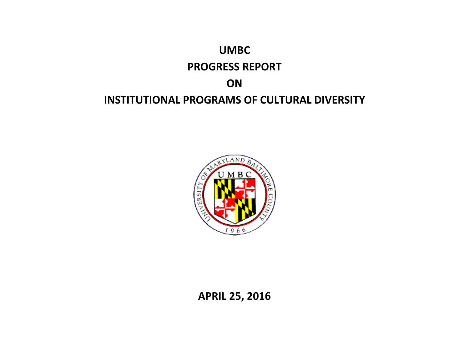# **UMBC PROGRESS REPORT ON INSTITUTIONAL PROGRAMS OF CULTURAL DIVERSITY**



**APRIL 25, 2016**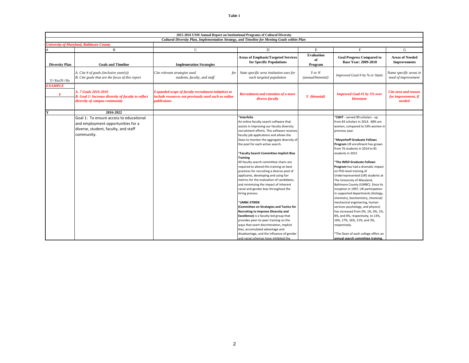|                       | 2015-2016 USM Annual Report on Institutional Programs of Cultural Diversity                                                         |                                                                                                                                           |                                                                                                                                                                                                                                                                                                                                                                                                                                                                                                                                                                                                                                                                                                                                                                                                                                                                                                                                                                                                        |                                    |                                                                                                                                                                                                                                                                                                                                                                                                                                                                                                                                                                                                                                                                                                                                                                                                                       |                                                       |  |
|-----------------------|-------------------------------------------------------------------------------------------------------------------------------------|-------------------------------------------------------------------------------------------------------------------------------------------|--------------------------------------------------------------------------------------------------------------------------------------------------------------------------------------------------------------------------------------------------------------------------------------------------------------------------------------------------------------------------------------------------------------------------------------------------------------------------------------------------------------------------------------------------------------------------------------------------------------------------------------------------------------------------------------------------------------------------------------------------------------------------------------------------------------------------------------------------------------------------------------------------------------------------------------------------------------------------------------------------------|------------------------------------|-----------------------------------------------------------------------------------------------------------------------------------------------------------------------------------------------------------------------------------------------------------------------------------------------------------------------------------------------------------------------------------------------------------------------------------------------------------------------------------------------------------------------------------------------------------------------------------------------------------------------------------------------------------------------------------------------------------------------------------------------------------------------------------------------------------------------|-------------------------------------------------------|--|
|                       | Cultural Diversity Plan, Implementation Strategy, and Timeline for Meeting Goals within Plan                                        |                                                                                                                                           |                                                                                                                                                                                                                                                                                                                                                                                                                                                                                                                                                                                                                                                                                                                                                                                                                                                                                                                                                                                                        |                                    |                                                                                                                                                                                                                                                                                                                                                                                                                                                                                                                                                                                                                                                                                                                                                                                                                       |                                                       |  |
|                       | <b>University of Maryland, Baltimore County</b>                                                                                     |                                                                                                                                           |                                                                                                                                                                                                                                                                                                                                                                                                                                                                                                                                                                                                                                                                                                                                                                                                                                                                                                                                                                                                        |                                    |                                                                                                                                                                                                                                                                                                                                                                                                                                                                                                                                                                                                                                                                                                                                                                                                                       |                                                       |  |
|                       | B                                                                                                                                   | $\mathbf C$                                                                                                                               | D                                                                                                                                                                                                                                                                                                                                                                                                                                                                                                                                                                                                                                                                                                                                                                                                                                                                                                                                                                                                      | Е                                  | F                                                                                                                                                                                                                                                                                                                                                                                                                                                                                                                                                                                                                                                                                                                                                                                                                     | ${\bf G}$                                             |  |
| <b>Diversity Plan</b> | <b>Goals and Timeline</b>                                                                                                           | <b>Implemetation Strategies</b>                                                                                                           | <b>Areas of Emphasis/Targeted Services</b><br>for Specific Populations                                                                                                                                                                                                                                                                                                                                                                                                                                                                                                                                                                                                                                                                                                                                                                                                                                                                                                                                 | <b>Evaluation</b><br>of<br>Program | <b>Goal Progress Compared to</b><br><b>Base Year: 2009-2010</b>                                                                                                                                                                                                                                                                                                                                                                                                                                                                                                                                                                                                                                                                                                                                                       | <b>Areas of Needed</b><br><b>Improvements</b>         |  |
| $Y = Yes/N = No$      | A. Cite # of goals (inclusive year(s))<br>B. Cite goals that are the focus of this report                                           | Cite relevant strategies used<br>for<br>students, faculty, and staff                                                                      | State specific area institution uses for<br>each targeted population                                                                                                                                                                                                                                                                                                                                                                                                                                                                                                                                                                                                                                                                                                                                                                                                                                                                                                                                   | Y or N<br>(annual/biennial)        | Improved Goal # by % or Static                                                                                                                                                                                                                                                                                                                                                                                                                                                                                                                                                                                                                                                                                                                                                                                        | Name specific areas in<br>need of improvement         |  |
| <b>EXAMPLE</b>        |                                                                                                                                     |                                                                                                                                           |                                                                                                                                                                                                                                                                                                                                                                                                                                                                                                                                                                                                                                                                                                                                                                                                                                                                                                                                                                                                        |                                    |                                                                                                                                                                                                                                                                                                                                                                                                                                                                                                                                                                                                                                                                                                                                                                                                                       |                                                       |  |
| Y                     | A. 7 Goals 2016-2010<br><b>B.</b> Goal 1: Increase diversity of faculty to reflect<br>diversity of campus community                 | <b>Expanded scope of faculty recruitment initiatives to</b><br>include resources not previously used such as online<br><i>nublicaions</i> | Recruitment and retention of a more<br>Y (biennial)<br>diverse faculty                                                                                                                                                                                                                                                                                                                                                                                                                                                                                                                                                                                                                                                                                                                                                                                                                                                                                                                                 |                                    | <b>Improved Goal #1 by 5% over</b><br><b>biennium</b>                                                                                                                                                                                                                                                                                                                                                                                                                                                                                                                                                                                                                                                                                                                                                                 | Cite area and reason<br>for improvement, if<br>needed |  |
| Y                     | 2016-2022                                                                                                                           |                                                                                                                                           |                                                                                                                                                                                                                                                                                                                                                                                                                                                                                                                                                                                                                                                                                                                                                                                                                                                                                                                                                                                                        |                                    |                                                                                                                                                                                                                                                                                                                                                                                                                                                                                                                                                                                                                                                                                                                                                                                                                       |                                                       |  |
|                       | Goal 1: To ensure access to educational<br>and employment opportunities for a<br>diverse, student, faculty, and staff<br>community. |                                                                                                                                           | *Interfolio<br>An online faculty search software that<br>assists in improving our faculty diversity<br>recruitment efforts. This software receives<br>faculty job applications and allows the<br>Dean to monitor the aggregate diversity of<br>the pool for each active search.<br>*Faculty Search Committee Implicit Bias<br><b>Training</b><br>All faculty search committee chairs are<br>required to attend this training on best<br>practices for recruiting a diverse pool of<br>applicants, developing and using fair<br>metrics for the evaluation of candidates,<br>and minimizing the impact of inherent<br>racial and gender bias throughout the<br>hiring process<br>*UMBC-STRIDE<br>(Committee on Strategies and Tactics for<br>Recruiting to Improve Diversity and<br><b>Excellence)</b> is a faculty-led group that<br>provides peer-to-peer training on the<br>ways that overt discrimination, implicit<br>bias, accumulated advantage and<br>disadvantage, and the influence of gender |                                    | *CWIT - served 99 scholars - up<br>from 83 scholars in 2014. 68% are<br>women, compared to 53% women in<br>previous year.<br>*Meyerhoff Graduate Fellows<br>Program UR enrollment has grown<br>from 76 students in 2014 to 81<br>students in 2015<br>*The IMSD Graduate Fellows<br>Program has had a dramatic impact<br>on PhD-level training of<br>Underrepresented (UR) students at<br>The University of Maryland,<br>Baltimore County (UMBC). Since its<br>inception in 1997, UR participation<br>in supported departments (biology,<br>chemistry, biochemistry, chemical/<br>mechanical engineering, human<br>services psychology, and physics)<br>has increased from 0%, 1%, 0%, 1%,<br>8%, and 0%, respectively, to 13%,<br>16%, 17%, 16%, 21%, and 3%,<br>respectively.<br>*The Dean of each college offers an |                                                       |  |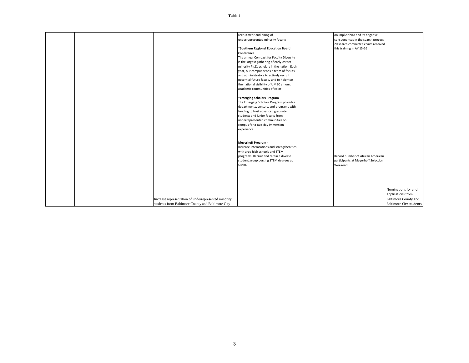|                                                      | recruitment and hiring of                   | on implicit bias and its negative   |                                |
|------------------------------------------------------|---------------------------------------------|-------------------------------------|--------------------------------|
|                                                      | underrepresented minority faculty           | consequences in the search process  |                                |
|                                                      |                                             | 20 search committee chairs received |                                |
|                                                      | *Southern Regional Education Board          | this training in AY 15-16           |                                |
|                                                      | Conference                                  |                                     |                                |
|                                                      | The annual Compact for Faculty Diversity    |                                     |                                |
|                                                      | is the largest gathering of early-career    |                                     |                                |
|                                                      | minority Ph.D. scholars in the nation. Each |                                     |                                |
|                                                      | year, our campus sends a team of faculty    |                                     |                                |
|                                                      | and administrators to actively recruit      |                                     |                                |
|                                                      | potential future faculty and to heighten    |                                     |                                |
|                                                      | the national visibility of UMBC among       |                                     |                                |
|                                                      | academic communities of color               |                                     |                                |
|                                                      |                                             |                                     |                                |
|                                                      | *Emerging Scholars Program                  |                                     |                                |
|                                                      | The Emerging Scholars Program provides      |                                     |                                |
|                                                      | departments, centers, and programs with     |                                     |                                |
|                                                      | funding to host advanced graduate           |                                     |                                |
|                                                      | students and junior faculty from            |                                     |                                |
|                                                      | underrepresented communities on             |                                     |                                |
|                                                      | campus for a two-day immersion              |                                     |                                |
|                                                      | experience.                                 |                                     |                                |
|                                                      |                                             |                                     |                                |
|                                                      |                                             |                                     |                                |
|                                                      | <b>Meyerhoff Program -</b>                  |                                     |                                |
|                                                      | Increase interacations and strengthen ties  |                                     |                                |
|                                                      | with area high schools and STEM             |                                     |                                |
|                                                      | programs. Recruit and retain a diverse      | Record number of African American   |                                |
|                                                      | student group pursing STEM degrees at       | participants at Meyerhoff Selection |                                |
|                                                      | <b>UMBC</b>                                 | Weekend                             |                                |
|                                                      |                                             |                                     |                                |
|                                                      |                                             |                                     |                                |
|                                                      |                                             |                                     |                                |
|                                                      |                                             |                                     |                                |
|                                                      |                                             |                                     |                                |
|                                                      |                                             |                                     | Nominations for and            |
|                                                      |                                             |                                     | applications from              |
| Increase representation of underrepresented minority |                                             |                                     | <b>Baltimore County and</b>    |
| students from Baltimore County and Baltimore City    |                                             |                                     | <b>Baltimore City students</b> |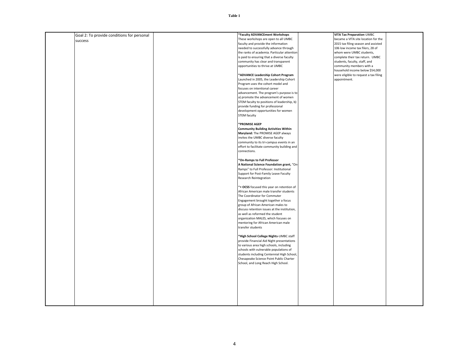| Goal 2: To provide conditions for personal | *Faculty ADVANCEment Workshops                                                      | VITA Tax Preparation-UMBC             |  |
|--------------------------------------------|-------------------------------------------------------------------------------------|---------------------------------------|--|
| success                                    | These workshops are open to all UMBC                                                | became a VITA site location for the   |  |
|                                            | faculty and provide the information                                                 | 2015 tax filing season and assisted   |  |
|                                            | needed to successfully advance through                                              | 106 low income tax filers, 28 of      |  |
|                                            | the ranks of academia. Particular attention                                         | whom were UMBC students,              |  |
|                                            | is paid to ensuring that a diverse faculty                                          | complete their tax return. UMBC       |  |
|                                            | community has clear and transparent                                                 | students, faculty, staff, and         |  |
|                                            | opportunities to thrive at UMBC                                                     | community members with a              |  |
|                                            |                                                                                     | household income below \$54,000       |  |
|                                            | *ADVANCE Leadership Cohort Program                                                  | were eligible to request a tax filing |  |
|                                            | Launched in 2005, the Leadership Cohort                                             | appointment.                          |  |
|                                            | Program uses the cohort model and                                                   |                                       |  |
|                                            | focuses on intentional career                                                       |                                       |  |
|                                            | advancement. The program's purpose is to<br>a) promote the advancement of women     |                                       |  |
|                                            | STEM faculty to positions of leadership, b)                                         |                                       |  |
|                                            | provide funding for professional                                                    |                                       |  |
|                                            | development opportunities for women                                                 |                                       |  |
|                                            | <b>STEM faculty</b>                                                                 |                                       |  |
|                                            |                                                                                     |                                       |  |
|                                            | *PROMISE AGEP                                                                       |                                       |  |
|                                            | <b>Community Building Activities Within</b>                                         |                                       |  |
|                                            | Maryland: The PROMISE AGEP always                                                   |                                       |  |
|                                            | invites the UMBC diverse faculty                                                    |                                       |  |
|                                            | community to its tri-campus events in an                                            |                                       |  |
|                                            | effort to facilitate community building and                                         |                                       |  |
|                                            | connections.                                                                        |                                       |  |
|                                            |                                                                                     |                                       |  |
|                                            | *On-Ramps to Full Professor                                                         |                                       |  |
|                                            | A National Science Foundation grant, "On-                                           |                                       |  |
|                                            | Ramps" to Full Professor: Institutional                                             |                                       |  |
|                                            | Support for Post-Family Leave Faculty                                               |                                       |  |
|                                            | Research Reintegration                                                              |                                       |  |
|                                            |                                                                                     |                                       |  |
|                                            | * OCSS focused this year on retention of<br>African American male transfer students |                                       |  |
|                                            | The Coordinator for Commuter                                                        |                                       |  |
|                                            | Engagement brought together a focus                                                 |                                       |  |
|                                            | group of African American males to                                                  |                                       |  |
|                                            | discuss retention issues at the institution,                                        |                                       |  |
|                                            | as well as reformed the student                                                     |                                       |  |
|                                            | organization MALES, which focuses on                                                |                                       |  |
|                                            | mentoring for African American male                                                 |                                       |  |
|                                            | transfer students                                                                   |                                       |  |
|                                            |                                                                                     |                                       |  |
|                                            | *High School College Nights-UMBC staff                                              |                                       |  |
|                                            | provide Financial Aid Night presentations                                           |                                       |  |
|                                            | to various area high schools, including                                             |                                       |  |
|                                            | schools with vulnerable populations of                                              |                                       |  |
|                                            | students including Centennial High School,                                          |                                       |  |
|                                            | Chesapeake Science Point Public Charter                                             |                                       |  |
|                                            | School, and Long Reach High School.                                                 |                                       |  |
|                                            |                                                                                     |                                       |  |
|                                            |                                                                                     |                                       |  |
|                                            |                                                                                     |                                       |  |
|                                            |                                                                                     |                                       |  |
|                                            |                                                                                     |                                       |  |
|                                            |                                                                                     |                                       |  |
|                                            |                                                                                     |                                       |  |
|                                            |                                                                                     |                                       |  |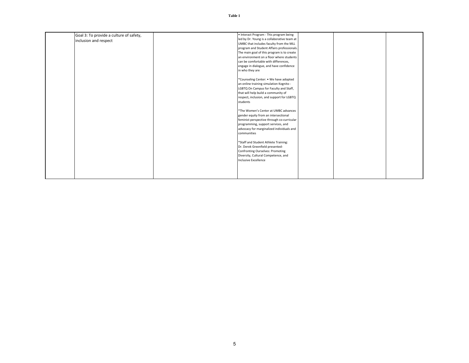| Goal 3: To provide a culture of safety, | • Interact Program - This program being     |  |  |
|-----------------------------------------|---------------------------------------------|--|--|
| inclusion and respect                   | led by Dr. Young is a collaborative team at |  |  |
|                                         | UMBC that includes faculty from the MLL     |  |  |
|                                         | program and Student Affairs professionals.  |  |  |
|                                         | The main goal of this program is to create  |  |  |
|                                         | an environment on a floor where students    |  |  |
|                                         | can be comfortable with differences,        |  |  |
|                                         | engage in dialogue, and have confidence     |  |  |
|                                         | in who they are                             |  |  |
|                                         |                                             |  |  |
|                                         | *Counseling Center: . We have adopted       |  |  |
|                                         | an online training simulation Kognito -     |  |  |
|                                         | LGBTQ On Campus for Faculty and Staff,      |  |  |
|                                         | that will help build a community of         |  |  |
|                                         | respect, inclusion, and support for LGBTQ   |  |  |
|                                         | students                                    |  |  |
|                                         |                                             |  |  |
|                                         | *The Women's Center at UMBC advances        |  |  |
|                                         | gender equity from an intersectional        |  |  |
|                                         | feminist perspective through co-curricular  |  |  |
|                                         | programming, support services, and          |  |  |
|                                         | advocacy for marginalized individuals and   |  |  |
|                                         | communities                                 |  |  |
|                                         |                                             |  |  |
|                                         | *Staff and Student Athlete Training:        |  |  |
|                                         | Dr. Derek Greenfield presented-             |  |  |
|                                         | <b>Confronting Ourselves: Promoting</b>     |  |  |
|                                         | Diversity, Cultural Competence, and         |  |  |
|                                         | Inclusive Excellence                        |  |  |
|                                         |                                             |  |  |
|                                         |                                             |  |  |
|                                         |                                             |  |  |
|                                         |                                             |  |  |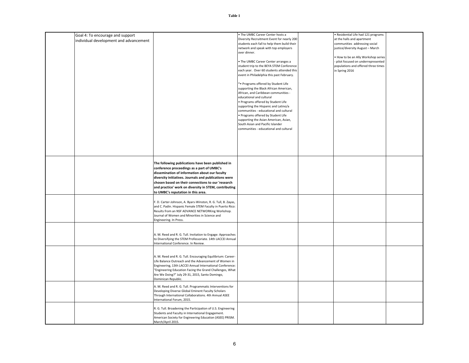|                                        |                                                                                     | . The UMBC Career Center hosts a            | · Residential Life had 121 programs |  |
|----------------------------------------|-------------------------------------------------------------------------------------|---------------------------------------------|-------------------------------------|--|
| Goal 4: To encourage and support       |                                                                                     | Diversity Recruitment Event for nearly 200  | at the halls and apartment          |  |
| individual development and advancement |                                                                                     | students each fall to help them build their | communities addressing social       |  |
|                                        |                                                                                     | network and speak with top employers        | justice/diversity August - March    |  |
|                                        |                                                                                     | over dinner.                                |                                     |  |
|                                        |                                                                                     |                                             | . How to be an Ally Workshop series |  |
|                                        |                                                                                     | . The UMBC Career Center arranges a         | - pilot focused on underrepresented |  |
|                                        |                                                                                     | student trip to the BEYA STEM Conference    | populations and offered three times |  |
|                                        |                                                                                     | each year. Over 60 students attended this   | in Spring 2016                      |  |
|                                        |                                                                                     |                                             |                                     |  |
|                                        |                                                                                     | event in Philadelphia this past February.   |                                     |  |
|                                        |                                                                                     | * Programs offered by Student Life          |                                     |  |
|                                        |                                                                                     | supporting the Black African American,      |                                     |  |
|                                        |                                                                                     | African, and Caribbean communities -        |                                     |  |
|                                        |                                                                                     | educational and cultural                    |                                     |  |
|                                        |                                                                                     | · Programs offered by Student Life          |                                     |  |
|                                        |                                                                                     | supporting the Hispanic and Latino/a        |                                     |  |
|                                        |                                                                                     | communities - educational and cultural      |                                     |  |
|                                        |                                                                                     | · Programs offered by Student Life          |                                     |  |
|                                        |                                                                                     | supporting the Asian American, Asian,       |                                     |  |
|                                        |                                                                                     | South Asian and Pacific Islander            |                                     |  |
|                                        |                                                                                     | communities - educational and cultural      |                                     |  |
|                                        |                                                                                     |                                             |                                     |  |
|                                        |                                                                                     |                                             |                                     |  |
|                                        |                                                                                     |                                             |                                     |  |
|                                        |                                                                                     |                                             |                                     |  |
|                                        |                                                                                     |                                             |                                     |  |
|                                        |                                                                                     |                                             |                                     |  |
|                                        |                                                                                     |                                             |                                     |  |
|                                        | The following publications have been published in                                   |                                             |                                     |  |
|                                        | conference proceedings as a part of UMBC's                                          |                                             |                                     |  |
|                                        | dissemination of information about our faculty                                      |                                             |                                     |  |
|                                        | diversity initiatives. Journals and publications were                               |                                             |                                     |  |
|                                        | chosen based on their connections to our 'research                                  |                                             |                                     |  |
|                                        | and practice' work on diversity in STEM, contributing                               |                                             |                                     |  |
|                                        | to UMBC's reputation in this area.                                                  |                                             |                                     |  |
|                                        |                                                                                     |                                             |                                     |  |
|                                        | F. D. Carter-Johnson, A. Byars-Winston, R. G. Tull, B. Zayas,                       |                                             |                                     |  |
|                                        | and C. Padin. Hispanic Female STEM Faculty in Puerto Rico:                          |                                             |                                     |  |
|                                        | Results from an NSF ADVANCE NETWORKing Workshop.                                    |                                             |                                     |  |
|                                        | Journal of Women and Minorities in Science and                                      |                                             |                                     |  |
|                                        | Engineering. In Press.                                                              |                                             |                                     |  |
|                                        |                                                                                     |                                             |                                     |  |
|                                        |                                                                                     |                                             |                                     |  |
|                                        | A. M. Reed and R. G. Tull. Invitation to Engage: Approaches                         |                                             |                                     |  |
|                                        | to Diversifying the STEM Professoriate. 14th LACCEI Annual                          |                                             |                                     |  |
|                                        | International Conference. In Review.                                                |                                             |                                     |  |
|                                        |                                                                                     |                                             |                                     |  |
|                                        |                                                                                     |                                             |                                     |  |
|                                        | A. M. Reed and R. G. Tull. Encouraging Equilibrium: Career-                         |                                             |                                     |  |
|                                        | Life Balance Outreach and the Advancement of Women in                               |                                             |                                     |  |
|                                        | Engineering, 13th LACCEI Annual International Conference:                           |                                             |                                     |  |
|                                        | "Engineering Education Facing the Grand Challenges, What                            |                                             |                                     |  |
|                                        | Are We Doing?" July 29-31, 2015, Santo Domingo,                                     |                                             |                                     |  |
|                                        | Dominican Republic.                                                                 |                                             |                                     |  |
|                                        |                                                                                     |                                             |                                     |  |
|                                        | A. M. Reed and R. G. Tull. Programmatic Interventions for                           |                                             |                                     |  |
|                                        | Developing Diverse Global Eminent Faculty Scholars                                  |                                             |                                     |  |
|                                        | Through International Collaborations. 4th Annual ASEE<br>International Forum, 2015. |                                             |                                     |  |
|                                        |                                                                                     |                                             |                                     |  |
|                                        | R. G. Tull. Broadening the Participation of U.S. Engineering                        |                                             |                                     |  |
|                                        | Students and Faculty in International Engagement.                                   |                                             |                                     |  |
|                                        | American Society for Engineering Education (ASEE) PRISM.                            |                                             |                                     |  |
|                                        | March/April 2015.                                                                   |                                             |                                     |  |
|                                        |                                                                                     |                                             |                                     |  |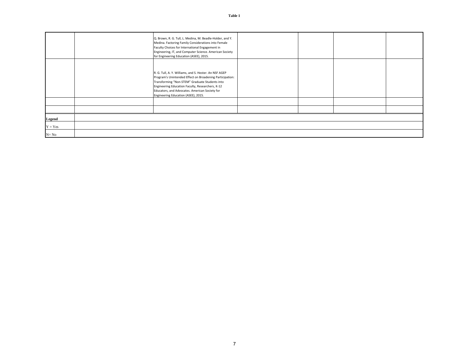|           | Q. Brown, R. G. Tull, L. Medina, M. Beadle-Holder, and Y.                                                          |  |  |
|-----------|--------------------------------------------------------------------------------------------------------------------|--|--|
|           | Medina. Factoring Family Considerations into Female<br>Faculty Choices for International Engagement in             |  |  |
|           | Engineering, IT, and Computer Science. American Society<br>for Engineering Education (ASEE), 2015.                 |  |  |
|           |                                                                                                                    |  |  |
|           | R. G. Tull, A. Y. Williams, and S. Hester. An NSF AGEP<br>Program's Unintended Effect on Broadening Participation: |  |  |
|           | Transforming "Non-STEM" Graduate Students into<br>Engineering Education Faculty, Researchers, K-12                 |  |  |
|           | Educators, and Advocates. American Society for<br>Engineering Education (ASEE), 2015.                              |  |  |
|           |                                                                                                                    |  |  |
|           |                                                                                                                    |  |  |
| Legend    |                                                                                                                    |  |  |
| $Y = Yes$ |                                                                                                                    |  |  |
| $N = No$  |                                                                                                                    |  |  |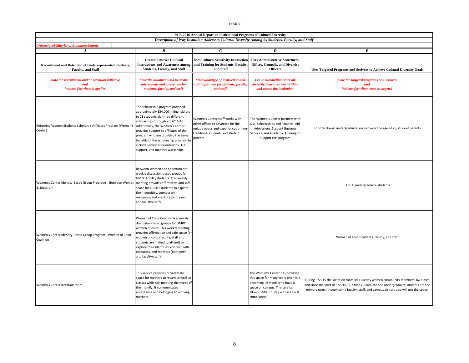| 2015-2016 Annual Report on Institutional Programs of Cultural Diversity                                          |                                                                                                                                                                                                                                                                                                                                                                                            |                                                                                                                                                             |                                                                                                                                                                                                  |                                                                                                                                                                                                                                                                   |  |  |
|------------------------------------------------------------------------------------------------------------------|--------------------------------------------------------------------------------------------------------------------------------------------------------------------------------------------------------------------------------------------------------------------------------------------------------------------------------------------------------------------------------------------|-------------------------------------------------------------------------------------------------------------------------------------------------------------|--------------------------------------------------------------------------------------------------------------------------------------------------------------------------------------------------|-------------------------------------------------------------------------------------------------------------------------------------------------------------------------------------------------------------------------------------------------------------------|--|--|
| Description of Way Institution Addresses Cultural Diversity Among its Students, Faculty, and Staff               |                                                                                                                                                                                                                                                                                                                                                                                            |                                                                                                                                                             |                                                                                                                                                                                                  |                                                                                                                                                                                                                                                                   |  |  |
| <b>Iniversity of Maryland, Baltimore County</b><br>$\boldsymbol{A}$                                              | $\boldsymbol{B}$                                                                                                                                                                                                                                                                                                                                                                           | $\mathcal{C}$                                                                                                                                               | $\boldsymbol{D}$                                                                                                                                                                                 | E                                                                                                                                                                                                                                                                 |  |  |
| Recruitment and Retention of Underrepresented Students,<br>Faculty, and Staff                                    | <b>Creates Positive Cultural</b><br><b>Interactions and Awareness among</b><br><b>Students, Faculty, and Staff</b>                                                                                                                                                                                                                                                                         | <b>Uses Cultural Senstivity Instruction</b><br>and Training for Students, Faculty.<br>and Staff                                                             | <b>Uses Administrative Sturctures,</b><br><b>Offices, Councils, and Diversity</b><br><b>Officers</b>                                                                                             | <b>Uses Targeted Programs and Serivces to Achieve Cultural Diversity Goals</b>                                                                                                                                                                                    |  |  |
| State the recruitment and/or retention initiative<br>and<br>indicate for whom it applies                         | State the initatives used to create<br>interactions and awareness for<br>students, faculty, and staff                                                                                                                                                                                                                                                                                      | State what type of instruction and<br>training is used for students, faculty,<br>and staff                                                                  | List in hierarchial order all<br>diversity structures used within<br>and across the institution                                                                                                  | State the targeted programs and services<br>and<br>indicate for whom each is targeted                                                                                                                                                                             |  |  |
| Returning Women Students Scholars + Affiliates Program (Women's<br>Center)                                       | The scholarship program provided<br>approximately \$54,000 in financial aid<br>to 23 students via three different<br>scholarships throughout 2015-16.<br>Additionally, the Women's Center<br>provides support to affiliates of the<br>program who are provided the same<br>benefits of the scholarship program to<br>include semester orientations, 1-1<br>support, and monthly workshops. | Women's Center staff works with<br>other offices to advocate for the<br>unique needs and experiences of non-<br>traditional students and student<br>parents | The Women's Center partners with<br>OIA, Scholarships and Financial Aid,<br>Admissions, Student Business<br>Services, and Academic Advising to<br>support this program                           | non-traditional undergraduate women over the age of 25; student parents                                                                                                                                                                                           |  |  |
| Women's Center Identity-Based Group Programs - Between Women meeting provides affirmative and safe<br>& Spectrum | Between Women and Spectrum are<br>weekly discussion-based groups for<br>UMBC LGBTQ students. This weekly<br>space for LGBTQ students to explore<br>their identities, connect with<br>resources, and mentors (both peer<br>and faculty/staff)                                                                                                                                               |                                                                                                                                                             |                                                                                                                                                                                                  | LGBTQ undergraduate students                                                                                                                                                                                                                                      |  |  |
| Women's Center Identity-Based Group Program - Women of Color<br>Coalition                                        | Women of Color Coaltion is a weekly<br>discussion-based groups for UMBC<br>women of color. This weekly meeting<br>provides affirmative and safe space for<br>women of color (faculty, staff and<br>students are invited to attend) to<br>explore their identities, connect with<br>resources, and mentors (both peer<br>and faculty/staff)                                                 |                                                                                                                                                             |                                                                                                                                                                                                  | Women of Color students, faculty, and staff                                                                                                                                                                                                                       |  |  |
| Women's Center lactation room                                                                                    | This service provides private/safe<br>space for mothers to return to work or<br>classes while still meeting the needs of<br>their family. It communicates<br>acceptance and belonging to working<br>mothers.                                                                                                                                                                               |                                                                                                                                                             | The Women's Center has provided<br>this space for many years prior to it<br>becoming USM policy to have a<br>space on campus. This service<br>allows UMBC to stay within Title IX<br>compliance. | During FY2015 the lactation room was usedby women community members 367 times<br>and since the start of FY2016, 307 times. Graduate and undergraduate students are the<br>primary users, though some faculty, staff, and campus visitors also will use the space. |  |  |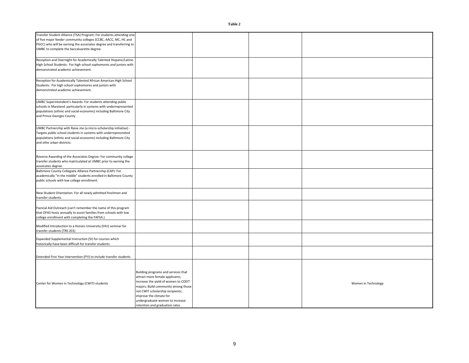Building programs and services that attract more female applicants, increase the yield of women to COEIT majors; Build community among those not CWIT scholarship recipients; improve the climate for undergraduate women to increase retention and graduation rates Women in Technology Transfer Student Alliance (TSA) Program: For students attending one of five major feeder community colleges (CCBC, AACC, MC, HC and PGCC) who will be earning the associates degree and transferring to UMBC to complete the baccaluarette degree. Reception and Overnight for Academically Talented Hispanic/Latino High School Students: For high school sophomores and juniors with demonstrated academic achievement. Reception for Academically Talented African American High School Students: For high school sophomores and juniors with demonstrated academic achievement. UMBC Superintendent's Awards: For students attending public schools in Maryland particularly in systems with underrepresented populations (ethnic and social-economic) including Baltimore City and Prince Georges County. UMBC Partnership with Raise.me (a micro-scholarship initiative) - Targets public school students in systems with underrepresneted populations (ethnic and social-economic) including Baltimore City and othe urban districts. Reverse Awarding of the Associates Degree: For community college transfer students who matriculated at UMBC prior to earning the assoicates degree. Baltimore County Collegiate Alliance Partnership (CAP): For academically "in the middle" students enrolled in Baltimore County public schools with low college enrollment. New Student Orientation: For all newly admitted freshmen and transfer students. Center for Women in Technology (CWIT)-students Modified Introduction to a Honors University (IHU) seminar for transfer students (TRS 201) Expanded Supplemental Instruction (SI) for courses which historically have been difficult for transfer students Extended First Year Intervention (FYI) to include transfer students Fiancial Aid Outreach (can't remember the name of this program that OFAS hosts annually to assist families from schools with low college enrollment with completing the FAFSA.)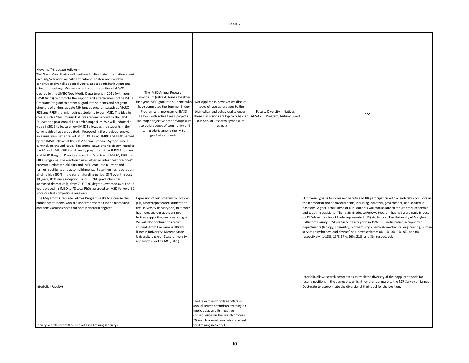| ۹ |  |
|---|--|
|---|--|

| Meyerhoff Graduate Fellows --<br>The PI and Coordinator will continue to distribute information about<br>diversity/retention activities at national conferences, and will<br>continue to give talks about diversity at academic institutions and<br>scientific meetings. We are currently using a testimonial DVD<br>created by the UMBC New Media Department in 2011 (with non-<br>IMSD funds) to promote the support and effectiveness of the IMSD<br>Graduate Program to potential graduate students and program<br>directors of undergraduate NIH funded programs, such as MARC,<br>RISE and PREP that might direct students to our IMSD. The idea to<br>create such a "Testimonial DVD was recommended by the IMSD<br>Fellows at a past Annual Research Symposium. We will update the<br>video in 2016 to feature new IMSD Fellows as the students in the<br>current video have graduated. Proposed in the previous renewal,<br>an annual newsletter called IMSD TODAY at UMBC and UMB named<br>by the IMSD Fellows at the 2012 Annual Research Symposium is<br>currently on the 3rd issue. The annual newsletter is disseminated to<br>UMBC and UMB affiliated diversity programs, other IMSD Programs,<br>NIH IMSD Program Directors as well as Directors of MARC, RISE and<br>PREP Programs. The electronic newsletter includes "best practices"<br>program updates; highlights and IMSD graduate (current and<br>former) spotlights and accomplishments. Retention has reached an<br>all-time high (90% in the current funding period; 87% over the past<br>10 years; 81% since inception), and UR PhD production has<br>increased dramatically, from 7 UR PhD degrees awarded over the 15<br>years preceding IMSD to 78 total PhDs awarded to IMSD Fellows (32<br>since our last competitive renewal). | The IMSD Annual Research<br>Symposium (retreat) brings together<br>first year IMSD graduate students who<br>have completed the Summer Bridge<br>Program with more senior IMSD<br>Fellows with active thesis projects.<br>The major objective of the symposium<br>is to build a sense of community and<br>camaraderie among the IMSD<br>graduate students.                          | Not Applicable, however we discuss<br>issues of race as it relates to the<br>biomedical and behavioral sciences.<br>These discussions are typically held at<br>our Annual Research Symposium<br>(retreat)             | <b>Faculty Diversity Initiatives</b><br>ADVANCE Program, Autumn Reed | N/A                                                                                                                                                                                                                                                                                                                                                                                                                                                                                                                                                                                                                                                                                                                                                                                                        |
|------------------------------------------------------------------------------------------------------------------------------------------------------------------------------------------------------------------------------------------------------------------------------------------------------------------------------------------------------------------------------------------------------------------------------------------------------------------------------------------------------------------------------------------------------------------------------------------------------------------------------------------------------------------------------------------------------------------------------------------------------------------------------------------------------------------------------------------------------------------------------------------------------------------------------------------------------------------------------------------------------------------------------------------------------------------------------------------------------------------------------------------------------------------------------------------------------------------------------------------------------------------------------------------------------------------------------------------------------------------------------------------------------------------------------------------------------------------------------------------------------------------------------------------------------------------------------------------------------------------------------------------------------------------------------------------------------------------------------------------------------------------------------------------------------------------|------------------------------------------------------------------------------------------------------------------------------------------------------------------------------------------------------------------------------------------------------------------------------------------------------------------------------------------------------------------------------------|-----------------------------------------------------------------------------------------------------------------------------------------------------------------------------------------------------------------------|----------------------------------------------------------------------|------------------------------------------------------------------------------------------------------------------------------------------------------------------------------------------------------------------------------------------------------------------------------------------------------------------------------------------------------------------------------------------------------------------------------------------------------------------------------------------------------------------------------------------------------------------------------------------------------------------------------------------------------------------------------------------------------------------------------------------------------------------------------------------------------------|
| The Meyerhoff Graduate Fellows Program seeks to increase the<br>number of students who are underrepresented in the biomedical<br>and behavioral sciences that obtain doctoral degrees                                                                                                                                                                                                                                                                                                                                                                                                                                                                                                                                                                                                                                                                                                                                                                                                                                                                                                                                                                                                                                                                                                                                                                                                                                                                                                                                                                                                                                                                                                                                                                                                                            | Expansion of our program to include<br>(UR) Underrepresented students at<br>the University of Maryland, Baltimore<br>has increased our applicant pool<br>further supporting our program goal.<br>We will also continue to recruit<br>students from the various HBCU's<br>Lincoln University, Morgan State<br>University, Jackson State University<br>and North Carolina A&T, etc.) |                                                                                                                                                                                                                       |                                                                      | Our overall goal is to increase diversity and UR participation within leadership positions in<br>the biomedical and behavioral fields, including industrial, government, and academic<br>positions. A goal is that some of our students will matriculate to tenure-track academic<br>and teaching positions. The IMSD Graduate Fellows Program has had a dramatic impact<br>on PhD-level training of Underrepresented (UR) students at The University of Maryland,<br>Baltimore County (UMBC). Since its inception in 1997, UR participation in supported<br>departments (biology, chemistry, biochemistry, chemical/ mechanical engineering, human<br>services psychology, and physics) has increased from 0%, 1%, 0%, 1%, 8%, and 0%,<br>respectively, to 13%, 16%, 17%, 16%, 21%, and 3%, respectively. |
| Interfolio (Faculty)<br>Faculty Search Committee Implicit Bias Training (Faculty)                                                                                                                                                                                                                                                                                                                                                                                                                                                                                                                                                                                                                                                                                                                                                                                                                                                                                                                                                                                                                                                                                                                                                                                                                                                                                                                                                                                                                                                                                                                                                                                                                                                                                                                                |                                                                                                                                                                                                                                                                                                                                                                                    | The Dean of each college offers an<br>annual search committee training on<br>implicit bias and its negative<br>consequences in the search process<br>20 search committee chairs received<br>this training in AY 15-16 |                                                                      | Interfolio allows search committees to track the diversity of their applicant pools for<br>faculty positions in the aggregate, which they then compare to the NSF Survey of Earned<br>Doctorate to approximate the diversity of their pool for the position.                                                                                                                                                                                                                                                                                                                                                                                                                                                                                                                                               |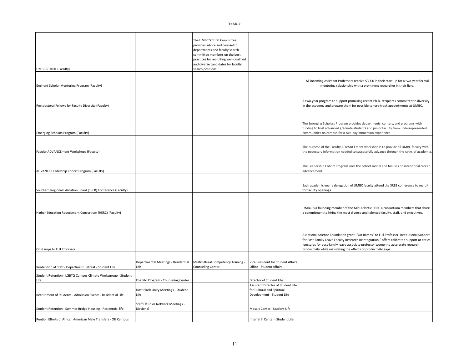**Table 2**

| UMBC-STRIDE (Faculty)                                                 |                                                | The UMBC STRIDE Committee<br>provides advice and counsel to<br>departments and faculty search<br>committee members on the best<br>practices for recruiting well-qualified<br>and diverse candidates for faculty<br>search positions. |                                                                                                |                                                                                                                                                                                                                                                                                                                                                 |
|-----------------------------------------------------------------------|------------------------------------------------|--------------------------------------------------------------------------------------------------------------------------------------------------------------------------------------------------------------------------------------|------------------------------------------------------------------------------------------------|-------------------------------------------------------------------------------------------------------------------------------------------------------------------------------------------------------------------------------------------------------------------------------------------------------------------------------------------------|
| Eminent Scholar Mentoring Program (Faculty)                           |                                                |                                                                                                                                                                                                                                      |                                                                                                | All incoming Assistant Professors receive \$3000 in their start-up for a two-year formal<br>mentoring relationship with a prominent researcher in their field.                                                                                                                                                                                  |
| Postdoctoral Fellows for Faculty Diversity (Faculty)                  |                                                |                                                                                                                                                                                                                                      |                                                                                                | A two-year program to support promising recent Ph.D. recipients committed to diversity<br>in the academy and prepare them for possible tenure-track appointments at UMBC.                                                                                                                                                                       |
| Emerging Scholars Program (Faculty)                                   |                                                |                                                                                                                                                                                                                                      |                                                                                                | The Emerging Scholars Program provides departments, centers, and programs with<br>funding to host advanced graduate students and junior faculty from underrepresented<br>communities on campus for a two-day immersion experience.                                                                                                              |
| Faculty ADVANCEment Workshops (Faculty)                               |                                                |                                                                                                                                                                                                                                      |                                                                                                | The purpose of the Faculty ADVANCEment workshop is to provide all UMBC faculty with<br>the necessary information needed to successfully advance through the ranks of academia.                                                                                                                                                                  |
| ADVANCE Leadership Cohort Program (Faculty)                           |                                                |                                                                                                                                                                                                                                      |                                                                                                | The Leadership Cohort Program uses the cohort model and focuses on intentional career<br>advancement.                                                                                                                                                                                                                                           |
| Southern Regional Education Board (SREB) Conference (Faculty)         |                                                |                                                                                                                                                                                                                                      |                                                                                                | Each academic year a delegation of UMBC faculty attend the SREB conference to recruit<br>for faculty openings.                                                                                                                                                                                                                                  |
| Higher Education Recruitment Consortium (HERC) (Faculty)              |                                                |                                                                                                                                                                                                                                      |                                                                                                | UMBC is a founding member of the Mid-Atlantic HERC a consortium members that share<br>commitment to hiring the most diverse and talented faculty, staff, and executives.                                                                                                                                                                        |
| On-Ramps to Full Professor                                            |                                                |                                                                                                                                                                                                                                      |                                                                                                | A National Science Foundation grant, "On-Ramps" to Full Professor: Institutional Support<br>for Post-Family Leave Faculty Research Reintegration," offers calibrated support at critical<br>junctures for post-family leave associate professor women to accelerate research<br>productivity while minimizing the effects of productivity gaps. |
| Rentention of Staff - Department Retreat - Student Life               | Departmental Meetings - Residential<br>Life    | Multicultural Competency Training -<br><b>Counseling Center</b>                                                                                                                                                                      | Vice President for Student Affairs<br>Office - Student Affairs                                 |                                                                                                                                                                                                                                                                                                                                                 |
| Student Retention - LGBTQ Campus Climate Worksgroup - Student<br>Life | Kognito Program - Counseling Center            |                                                                                                                                                                                                                                      | Director of Student Life                                                                       |                                                                                                                                                                                                                                                                                                                                                 |
| Recrutiment of Students - Admission Events - Residential Life         | Host Black Unity Meetings - Student<br>Life    |                                                                                                                                                                                                                                      | Assistant Director of Student Life<br>for Cultural and Spiritual<br>Development - Student Life |                                                                                                                                                                                                                                                                                                                                                 |
| Student Retention - Summer Bridge Housing - Residential life          | Staff Of Color Network Meetings -<br>Divsional |                                                                                                                                                                                                                                      | Mosaic Center - Student Life                                                                   |                                                                                                                                                                                                                                                                                                                                                 |
| Rention Efforts of African American Male Transfers - Off Campus       |                                                |                                                                                                                                                                                                                                      | nterfatih Center - Student Life                                                                |                                                                                                                                                                                                                                                                                                                                                 |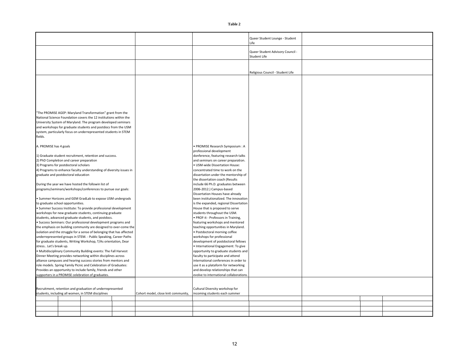|                                                                                                                                                                                                     |                                     |                                                                              | Queer Student Lounge - Student<br>Life           |  |  |
|-----------------------------------------------------------------------------------------------------------------------------------------------------------------------------------------------------|-------------------------------------|------------------------------------------------------------------------------|--------------------------------------------------|--|--|
|                                                                                                                                                                                                     |                                     |                                                                              | Queer Student Advisory Council -<br>Student Life |  |  |
|                                                                                                                                                                                                     |                                     |                                                                              | Religious Council - Student Life                 |  |  |
|                                                                                                                                                                                                     |                                     |                                                                              |                                                  |  |  |
|                                                                                                                                                                                                     |                                     |                                                                              |                                                  |  |  |
| "The PROMISE AGEP: Maryland Transformation" grant from the                                                                                                                                          |                                     |                                                                              |                                                  |  |  |
| National Science Foundation covers the 12 institutions within the<br>University System of Maryland. The program developed seminars<br>and workshops for graduate students and postdocs from the USM |                                     |                                                                              |                                                  |  |  |
| system, particularly focus on underrepresented students in STEM<br>fields.                                                                                                                          |                                     |                                                                              |                                                  |  |  |
| A. PROMISE has 4 goals                                                                                                                                                                              |                                     | PROMISE Research Symposium : A<br>professional development                   |                                                  |  |  |
| 1) Graduate student recruitment, retention and success.<br>2) PhD Completion and career preparation                                                                                                 |                                     | donference, featuring research talks<br>and seminars on career preparation.  |                                                  |  |  |
| 3) Programs for postdoctoral scholars                                                                                                                                                               |                                     | · USM-wide Dissertation House:                                               |                                                  |  |  |
| 4) Programs to enhance faculty understanding of diversity issues in<br>graduate and postdoctoral education                                                                                          |                                     | concentrated time to work on the<br>dissertation under the mentorship of     |                                                  |  |  |
|                                                                                                                                                                                                     |                                     | the dissertation coach (Results                                              |                                                  |  |  |
| During the year we have hosted the followin list of                                                                                                                                                 |                                     | include 66 Ph.D. graduates between                                           |                                                  |  |  |
| programs/seminars/workshops/conferences to pursue our goals:                                                                                                                                        |                                     | 2006-2012.) Campus-based<br>Dissertation Houses have already                 |                                                  |  |  |
| · Summer Horizons and GEM GradLab to expose USM undergrads                                                                                                                                          |                                     | been institutionalized. The innovation                                       |                                                  |  |  |
| to graduate school opportunities.                                                                                                                                                                   |                                     | is the expanded, regional Dissertation                                       |                                                  |  |  |
| · Summer Success Institute: To provide professional development<br>workshops for new graduate students, continuing graduate                                                                         |                                     | House that is proposed to serve<br>students throughout the USM.              |                                                  |  |  |
| students, advanced graduate students, and postdocs.                                                                                                                                                 |                                     | • PROF-it - Professors in Training,                                          |                                                  |  |  |
| Success Seminars: Our professional development programs and                                                                                                                                         |                                     | featuring workshops and mentored                                             |                                                  |  |  |
| the emphasis on building community are designed to over-come the<br>isolation and the struggle for a sense of belonging that has affected                                                           |                                     | teaching opportunities in Maryland.<br>· Postdoctoral morning coffee         |                                                  |  |  |
| underrepresented groups in STEM. - Public Speaking, Career Paths                                                                                                                                    |                                     | workshops for professional                                                   |                                                  |  |  |
| for graduate students, Writing Workshop, T/As orientation, Dear                                                                                                                                     |                                     | development of postdoctoral fellows                                          |                                                  |  |  |
| stress Let's break up.<br>. Multidisciplinary Community Building events: The Fall Harvest                                                                                                           |                                     | · International Engagement: To give<br>opportunity to graduate students and  |                                                  |  |  |
| Dinner Meeting provides networking within disciplines across                                                                                                                                        |                                     | faculty to participate and attend                                            |                                                  |  |  |
| alliance campuses and hearing success stories from mentors and                                                                                                                                      |                                     | international conferences in order to                                        |                                                  |  |  |
| role models. Spring Family Picnic and Celebration of Graduates:                                                                                                                                     |                                     | use it as a plataform for networking                                         |                                                  |  |  |
| Provides an opportunity to include family, friends and other<br>supporters in a PROMISE celebration of graduates.                                                                                   |                                     | and develop relationships that can<br>evolve to international collaborations |                                                  |  |  |
|                                                                                                                                                                                                     |                                     |                                                                              |                                                  |  |  |
|                                                                                                                                                                                                     |                                     | Cultural Diversity workshop for                                              |                                                  |  |  |
| Recruitment, retention and graduation of underrepresented<br>students, including all women, in STEM disciplines                                                                                     | Cohort model, close knit community, | incoming students each summer                                                |                                                  |  |  |
|                                                                                                                                                                                                     |                                     |                                                                              |                                                  |  |  |
|                                                                                                                                                                                                     |                                     |                                                                              |                                                  |  |  |
|                                                                                                                                                                                                     |                                     |                                                                              |                                                  |  |  |
|                                                                                                                                                                                                     |                                     |                                                                              |                                                  |  |  |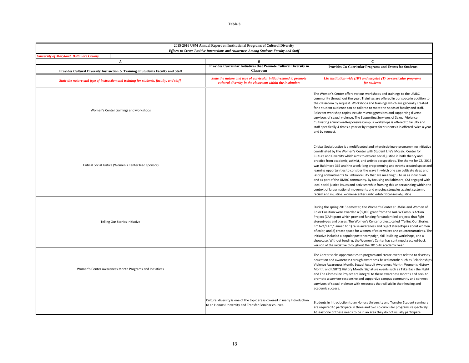| 2015-2016 USM Annual Report on Institutional Programs of Cultural Diversity                                                               |                                                                                                                                    |                                                                                                                                                                                                                                                                                                                                                                                                                                                                                                                                                                                                                                                                                                                                                                                                                                                                                                                                |  |  |  |  |
|-------------------------------------------------------------------------------------------------------------------------------------------|------------------------------------------------------------------------------------------------------------------------------------|--------------------------------------------------------------------------------------------------------------------------------------------------------------------------------------------------------------------------------------------------------------------------------------------------------------------------------------------------------------------------------------------------------------------------------------------------------------------------------------------------------------------------------------------------------------------------------------------------------------------------------------------------------------------------------------------------------------------------------------------------------------------------------------------------------------------------------------------------------------------------------------------------------------------------------|--|--|--|--|
| Efforts to Create Positive Interactions and Awareness Among Students Faculty and Staff<br><b>University of Maryland, Baltimore County</b> |                                                                                                                                    |                                                                                                                                                                                                                                                                                                                                                                                                                                                                                                                                                                                                                                                                                                                                                                                                                                                                                                                                |  |  |  |  |
| $\boldsymbol{A}$                                                                                                                          | R                                                                                                                                  | $\epsilon$                                                                                                                                                                                                                                                                                                                                                                                                                                                                                                                                                                                                                                                                                                                                                                                                                                                                                                                     |  |  |  |  |
| Provides Cultural Diversity Instruction & Training of Students Faculty and Staff                                                          | Provides Curricular Initiatives that Promote Cultural Diversity in<br><b>Classroom</b>                                             | Provides Co-Curricular Programs and Events for Students                                                                                                                                                                                                                                                                                                                                                                                                                                                                                                                                                                                                                                                                                                                                                                                                                                                                        |  |  |  |  |
| State the nature and type of instruction and training for students, faculty, and staff                                                    | State the nature and type of curricular initiativesused to promote<br>cultural diversity in the classroom within the institution   | List institution-wide (IW) and targeted $(T)$ co-curricular programs<br>for students                                                                                                                                                                                                                                                                                                                                                                                                                                                                                                                                                                                                                                                                                                                                                                                                                                           |  |  |  |  |
| Women's Center trainings and workshops                                                                                                    |                                                                                                                                    | The Women's Center offers various workshops and trainings to the UMBC<br>community throughout the year. Trainings are offered in our space in addition to<br>the classroom by request. Workshops and trainings which are generally created<br>for a student audience can be tailored to meet the needs of faculty and staff.<br>Relevant workshop topics include microaggressions and supporting diverse<br>survivors of sexual violence. The Supporting Survivors of Sexual Violence:<br>Cultivating a Survivor-Responsive Campus workshops is offered to faculty and<br>staff specifically 4 times a year or by request for students it is offered twice a year<br>and by request.                                                                                                                                                                                                                                           |  |  |  |  |
| Critical Social Justice (Women's Center lead sponsor)                                                                                     |                                                                                                                                    | Critical Social Justice is a multifaceted and interdisciplinary programming initiative<br>coordinated by the Women's Center with Student Life's Mosaic: Center for<br>Culture and Diversity which aims to explore social justice in both theory and<br>practice from academic, activist, and artistic perspectives. The theme for CSJ 2015<br>was Baltimore 365 and the week-long programming and events created space and<br>learning opportunities to consider the ways in which one can cultivate deep and<br>lasting commitments to Baltimore City that are meaningful to us as individuals<br>and as part of the UMBC community. By focusing on Baltimore, CSJ engaged with<br>local social justice issues and activism while framing this understanding within the<br>context of larger national movements and ongoing struggles against systemic<br>racism and injustice. womenscenter.umbc.edu/critical-social-justice |  |  |  |  |
| Telling Our Stories Initiative                                                                                                            |                                                                                                                                    | During the spring 2015 semester, the Women's Center at UMBC and Women of<br>Color Coalition were awarded a \$5,000 grant from the AAUW Campus Action<br>Project (CAP) grant which provided funding for student led projects that fight<br>stereotypes and biases. The Women's Center project, called "Telling Our Stories:<br>I'm Not/I Am," aimed to 1) raise awareness and reject stereotypes about women<br>of color, and 2) create space for women of color voices and counternarratives. The<br>initiative included a popular poster campaign, skill-building workshops, and a<br>showcase. Without funding, the Women's Center has continued a scaled-back<br>version of the initiative throughout the 2015-16 academic year.                                                                                                                                                                                            |  |  |  |  |
| Women's Center Awareness Month Programs and Initiatives                                                                                   |                                                                                                                                    | The Center seeks opportunities to program and create events related to diversity<br>education and awareness through awareness-based months such as Relationships<br>Violence Awareness Month, Sexual Assault Awareness Month, Women's History<br>Month, and LGBTQ History Month. Signature events such as Take Back the Night<br>and The Clothesline Project are integral to these awareness months and seek to<br>promote a survivor-responsive and supportive campus community and connect<br>survivors of sexual violence with resources that will aid in their healing and<br>academic success.                                                                                                                                                                                                                                                                                                                            |  |  |  |  |
|                                                                                                                                           | Cultural diversity is one of the topic areas covered in many Introduction<br>to an Honors University and Transfer Seminar courses. | Students in Introduction to an Honors University and Transfer Student seminars<br>are required to participate in three and two co-currciular programs respectively.<br>At least one of these needs to be in an area they do not usually participate.                                                                                                                                                                                                                                                                                                                                                                                                                                                                                                                                                                                                                                                                           |  |  |  |  |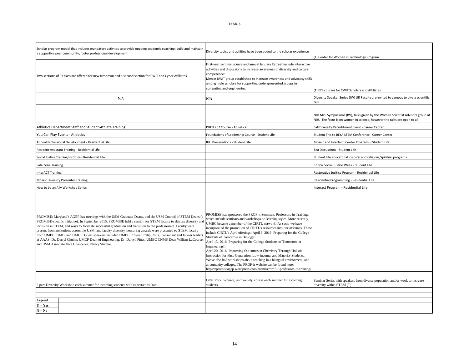| Scholar program model that includes mandatory activites to provide ongoing academic coaching; build and maintain<br>a supportive peer community; foster professional development                                                                                                                                                                                                                                                                                                                                                                                                                                                                                                                                                                    | Diversity topics and actiities have been added to the scholar experience                                                                                                                                                                                                                                                                                                                                                                                                                                                                                                                                                                                                                                                                                                                                                                                            | (T) Center for Women in Technology Program                                                                                                                 |
|-----------------------------------------------------------------------------------------------------------------------------------------------------------------------------------------------------------------------------------------------------------------------------------------------------------------------------------------------------------------------------------------------------------------------------------------------------------------------------------------------------------------------------------------------------------------------------------------------------------------------------------------------------------------------------------------------------------------------------------------------------|---------------------------------------------------------------------------------------------------------------------------------------------------------------------------------------------------------------------------------------------------------------------------------------------------------------------------------------------------------------------------------------------------------------------------------------------------------------------------------------------------------------------------------------------------------------------------------------------------------------------------------------------------------------------------------------------------------------------------------------------------------------------------------------------------------------------------------------------------------------------|------------------------------------------------------------------------------------------------------------------------------------------------------------|
| Two sections of FY class are offered for new freshman and a second section for CWIT and Cyber Affiliates                                                                                                                                                                                                                                                                                                                                                                                                                                                                                                                                                                                                                                            | First-year seminar course and annual January Retreat include interactive<br>activities and discussions to increase awareness of diversity and cultural<br>competence:<br>Men in DWIT group established to increase awareness and advocacy skills<br>among male scholars for supporting underrpresented groups in<br>computing and engineering                                                                                                                                                                                                                                                                                                                                                                                                                                                                                                                       | (T) FYE courses for CWIT Scholars and Affiliates                                                                                                           |
| N/A                                                                                                                                                                                                                                                                                                                                                                                                                                                                                                                                                                                                                                                                                                                                                 | N/A                                                                                                                                                                                                                                                                                                                                                                                                                                                                                                                                                                                                                                                                                                                                                                                                                                                                 | Diversity Speaker Series (IW) UR Faculty are invited to campus to give a scientific<br>talk                                                                |
|                                                                                                                                                                                                                                                                                                                                                                                                                                                                                                                                                                                                                                                                                                                                                     |                                                                                                                                                                                                                                                                                                                                                                                                                                                                                                                                                                                                                                                                                                                                                                                                                                                                     | NIH Mini Symposiums (IW), talks given by the Women Scientist Advisors group at<br>NIH. The focus is on women in science, however the talks are open to all |
| Athletics Department Staff and Student-Athlete Training                                                                                                                                                                                                                                                                                                                                                                                                                                                                                                                                                                                                                                                                                             | PHED 202 Course - Athletics                                                                                                                                                                                                                                                                                                                                                                                                                                                                                                                                                                                                                                                                                                                                                                                                                                         | Fall Diversity Recrutitment Event - Career Center                                                                                                          |
| You Can Play Events - Athletics                                                                                                                                                                                                                                                                                                                                                                                                                                                                                                                                                                                                                                                                                                                     | Foundations of Leadership Course - Student Life                                                                                                                                                                                                                                                                                                                                                                                                                                                                                                                                                                                                                                                                                                                                                                                                                     | Student Trip to BEYA STEM Conference - Career Center                                                                                                       |
| Annual Professional Development - Residential Life                                                                                                                                                                                                                                                                                                                                                                                                                                                                                                                                                                                                                                                                                                  | IHU Presenations - Student Life                                                                                                                                                                                                                                                                                                                                                                                                                                                                                                                                                                                                                                                                                                                                                                                                                                     | Mosaic and Interfaith Center Programs - Student Life                                                                                                       |
| Resident Assistant Training - Residential Life                                                                                                                                                                                                                                                                                                                                                                                                                                                                                                                                                                                                                                                                                                      |                                                                                                                                                                                                                                                                                                                                                                                                                                                                                                                                                                                                                                                                                                                                                                                                                                                                     | Tea Discussions - Student Life                                                                                                                             |
| Social Justice Training Institute - Residential Life                                                                                                                                                                                                                                                                                                                                                                                                                                                                                                                                                                                                                                                                                                |                                                                                                                                                                                                                                                                                                                                                                                                                                                                                                                                                                                                                                                                                                                                                                                                                                                                     | Student Life educatonal, cultural and religious/spiritual programs                                                                                         |
| Safe Zone Training                                                                                                                                                                                                                                                                                                                                                                                                                                                                                                                                                                                                                                                                                                                                  |                                                                                                                                                                                                                                                                                                                                                                                                                                                                                                                                                                                                                                                                                                                                                                                                                                                                     | Critical Social Justice Week - Student Life                                                                                                                |
| nterACT Training                                                                                                                                                                                                                                                                                                                                                                                                                                                                                                                                                                                                                                                                                                                                    |                                                                                                                                                                                                                                                                                                                                                                                                                                                                                                                                                                                                                                                                                                                                                                                                                                                                     | Restorative Jusitice Program - Residential Life                                                                                                            |
| <b>Mosaic Diversity Presenter Training</b>                                                                                                                                                                                                                                                                                                                                                                                                                                                                                                                                                                                                                                                                                                          |                                                                                                                                                                                                                                                                                                                                                                                                                                                                                                                                                                                                                                                                                                                                                                                                                                                                     | Residential Programming - Residential Life                                                                                                                 |
| How to be an Ally Workshop Series                                                                                                                                                                                                                                                                                                                                                                                                                                                                                                                                                                                                                                                                                                                   |                                                                                                                                                                                                                                                                                                                                                                                                                                                                                                                                                                                                                                                                                                                                                                                                                                                                     | Interact Program - Residential Life                                                                                                                        |
| PROMISE: Maryland's AGEP has meetings with the USM Graduate Deans, and the USM Council of STEM Deans (a<br>PROMISE-specific initiative). In September 2015, PROMISE held a session for STEM faculty to discuss diversity and<br>inclusion in STEM, and ways to facilitate successful graduation and transition to the professoriate. Faculty were<br>present from institutions across the USM, and faculty diversity mentoring awards were presented to STEM faculty<br>from UMBC, UMB, and UMCP. Guest speakers included UMBC Provost Philip Rous, Consultant and former leaders<br>at AAAS, Dr. Darryl Chubin; UMCP Dean of Engineering, Dr. Darryll Pines; UMBC CNMS Dean William LaCourse;<br>and USM Associate Vice Chancellor, Nancy Shapiro. | PROMISE has sponsored the PROF-it Seminars, Professors-in-Training,<br>which include seminars and workshops on learning styles. More recently,<br>UMBC became a member of the CIRTL network. As such, we have<br>incorporated the promotion of CIRTL's resources into our offerings. These<br>include CIRTL's April offerings: April 6, 2016: Preparing for the College<br>Students of Tomorrow in Biology□<br>April 13, 2016: Preparing for the College Students of Tomorrow in<br>Engineering<br>April 20, 2016: Improving Outcomes in Chemistry Through Holistic<br>Instruction for First-Generation, Low-income, and Minority Students.<br>We've also had workshops about teaching in a bilingual environment, and<br>at comunity colleges. The PROF-it website can be found here:<br>https://promiseagep.wordpress.com/promise/prof-it-professors-in-training/ |                                                                                                                                                            |
| 2 part Diversity Workshop each summer for incoming students with expert/consultant                                                                                                                                                                                                                                                                                                                                                                                                                                                                                                                                                                                                                                                                  | Offer Race, Science, and Society course each summer for incoming<br>students                                                                                                                                                                                                                                                                                                                                                                                                                                                                                                                                                                                                                                                                                                                                                                                        | Seminar Series with speakers from diverse population and/or work to increase<br>diversity within STEM (T)                                                  |
| Legend                                                                                                                                                                                                                                                                                                                                                                                                                                                                                                                                                                                                                                                                                                                                              |                                                                                                                                                                                                                                                                                                                                                                                                                                                                                                                                                                                                                                                                                                                                                                                                                                                                     |                                                                                                                                                            |
|                                                                                                                                                                                                                                                                                                                                                                                                                                                                                                                                                                                                                                                                                                                                                     |                                                                                                                                                                                                                                                                                                                                                                                                                                                                                                                                                                                                                                                                                                                                                                                                                                                                     |                                                                                                                                                            |
| $Y = Yes$<br>$N = No$                                                                                                                                                                                                                                                                                                                                                                                                                                                                                                                                                                                                                                                                                                                               |                                                                                                                                                                                                                                                                                                                                                                                                                                                                                                                                                                                                                                                                                                                                                                                                                                                                     |                                                                                                                                                            |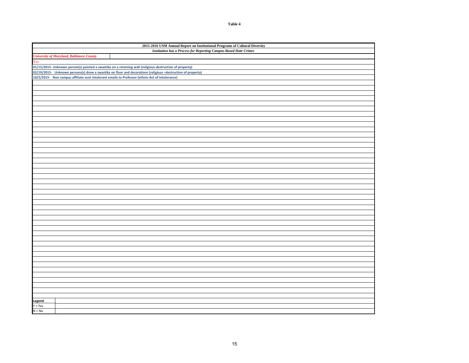**Table 4**

| 2015-2016 USM Annual Report on Institutional Programs of Cultural Diversity |                                                                                                              |  |  |  |  |  |  |  |  |  |  |
|-----------------------------------------------------------------------------|--------------------------------------------------------------------------------------------------------------|--|--|--|--|--|--|--|--|--|--|
|                                                                             | <b>Institution has a Process for Reporting Campus-Based Hate Crimes</b>                                      |  |  |  |  |  |  |  |  |  |  |
| <b>University of Maryland, Baltimore County</b>                             |                                                                                                              |  |  |  |  |  |  |  |  |  |  |
| Ves                                                                         |                                                                                                              |  |  |  |  |  |  |  |  |  |  |
|                                                                             | 01/15/2015- Unknown person(s) painted a swastika on a retaining wall (religious-destruction of property)     |  |  |  |  |  |  |  |  |  |  |
|                                                                             | 02/19/2015- Unknown persons(s) drew a swastika on floor and decorations (religious -destruction of property) |  |  |  |  |  |  |  |  |  |  |
|                                                                             | 10/2/2015- Non campus affiliate sent intolerant emails to Professor (ethnic-Act of Intolerance)              |  |  |  |  |  |  |  |  |  |  |
|                                                                             |                                                                                                              |  |  |  |  |  |  |  |  |  |  |
|                                                                             |                                                                                                              |  |  |  |  |  |  |  |  |  |  |
|                                                                             |                                                                                                              |  |  |  |  |  |  |  |  |  |  |
|                                                                             |                                                                                                              |  |  |  |  |  |  |  |  |  |  |
|                                                                             |                                                                                                              |  |  |  |  |  |  |  |  |  |  |
|                                                                             |                                                                                                              |  |  |  |  |  |  |  |  |  |  |
|                                                                             |                                                                                                              |  |  |  |  |  |  |  |  |  |  |
|                                                                             |                                                                                                              |  |  |  |  |  |  |  |  |  |  |
|                                                                             |                                                                                                              |  |  |  |  |  |  |  |  |  |  |
|                                                                             |                                                                                                              |  |  |  |  |  |  |  |  |  |  |
|                                                                             |                                                                                                              |  |  |  |  |  |  |  |  |  |  |
|                                                                             |                                                                                                              |  |  |  |  |  |  |  |  |  |  |
|                                                                             |                                                                                                              |  |  |  |  |  |  |  |  |  |  |
|                                                                             |                                                                                                              |  |  |  |  |  |  |  |  |  |  |
|                                                                             |                                                                                                              |  |  |  |  |  |  |  |  |  |  |
|                                                                             |                                                                                                              |  |  |  |  |  |  |  |  |  |  |
|                                                                             |                                                                                                              |  |  |  |  |  |  |  |  |  |  |
|                                                                             |                                                                                                              |  |  |  |  |  |  |  |  |  |  |
|                                                                             |                                                                                                              |  |  |  |  |  |  |  |  |  |  |
|                                                                             |                                                                                                              |  |  |  |  |  |  |  |  |  |  |
|                                                                             |                                                                                                              |  |  |  |  |  |  |  |  |  |  |
|                                                                             |                                                                                                              |  |  |  |  |  |  |  |  |  |  |
|                                                                             |                                                                                                              |  |  |  |  |  |  |  |  |  |  |
|                                                                             |                                                                                                              |  |  |  |  |  |  |  |  |  |  |
|                                                                             |                                                                                                              |  |  |  |  |  |  |  |  |  |  |
|                                                                             |                                                                                                              |  |  |  |  |  |  |  |  |  |  |
|                                                                             |                                                                                                              |  |  |  |  |  |  |  |  |  |  |
|                                                                             |                                                                                                              |  |  |  |  |  |  |  |  |  |  |
|                                                                             |                                                                                                              |  |  |  |  |  |  |  |  |  |  |
|                                                                             |                                                                                                              |  |  |  |  |  |  |  |  |  |  |
|                                                                             |                                                                                                              |  |  |  |  |  |  |  |  |  |  |
|                                                                             |                                                                                                              |  |  |  |  |  |  |  |  |  |  |
|                                                                             |                                                                                                              |  |  |  |  |  |  |  |  |  |  |
|                                                                             |                                                                                                              |  |  |  |  |  |  |  |  |  |  |
|                                                                             |                                                                                                              |  |  |  |  |  |  |  |  |  |  |
|                                                                             |                                                                                                              |  |  |  |  |  |  |  |  |  |  |
|                                                                             |                                                                                                              |  |  |  |  |  |  |  |  |  |  |
|                                                                             |                                                                                                              |  |  |  |  |  |  |  |  |  |  |
|                                                                             |                                                                                                              |  |  |  |  |  |  |  |  |  |  |
|                                                                             |                                                                                                              |  |  |  |  |  |  |  |  |  |  |
| Legend                                                                      |                                                                                                              |  |  |  |  |  |  |  |  |  |  |
| $Y = Yes$                                                                   |                                                                                                              |  |  |  |  |  |  |  |  |  |  |
| $N = No$                                                                    |                                                                                                              |  |  |  |  |  |  |  |  |  |  |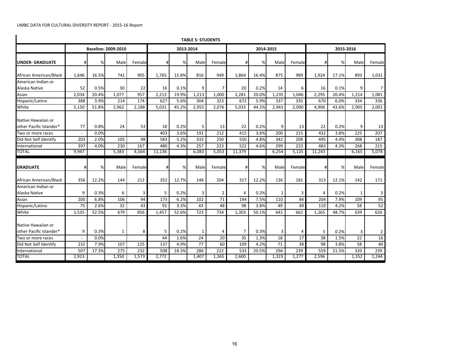|                                               |       |       |                            |                |        |       | <b>TABLE 5: STUDENTS</b> |                |                |           |                |        |                |           |              |                |
|-----------------------------------------------|-------|-------|----------------------------|----------------|--------|-------|--------------------------|----------------|----------------|-----------|----------------|--------|----------------|-----------|--------------|----------------|
| <b>UNDER- GRADUATE</b>                        |       |       | <b>Baseline: 2009-2010</b> |                |        |       | 2013-2014                |                |                | 2014-2015 |                |        |                | 2015-2016 |              |                |
|                                               | #     | %     | Male                       | Female         | #      | %     | Male                     | Female         | #              | %         | Male           | Female | #              | %         | Male         | Female         |
| African American/Black                        | 1.646 | 16.5% | 741                        | 905            | 1,765  | 15.8% | 816                      | 949            | 1,864          | 16.4%     | 875            | 989    | 1,924          | 17.1%     | 893          | 1,031          |
| American Indian or                            |       |       |                            |                |        |       |                          |                |                |           |                |        |                |           |              |                |
| Alaska Native                                 | 52    | 0.5%  | 30                         | 22             | 16     | 0.1%  | 9                        | 7 <sup>1</sup> | 20             | 0.2%      | 14             | 6      | 16             | 0.1%      | 9            | $\overline{7}$ |
| Asian                                         | 2.034 | 20.4% | 1.077                      | 957            | 2.213  | 19.9% | 1.213                    | 1.000          | 2,281          | 20.0%     | 1,235          | 1.046  | 2,295          | 20.4%     | 1.214        | 1,081          |
| Hispanic/Latino                               | 388   | 3.9%  | 214                        | 174            | 627    | 5.6%  | 304                      | 323            | 672            | 5.9%      | 337            | 335    | 670            | 6.0%      | 334          | 336            |
| White                                         | 5,150 | 51.8% | 2,962                      | 2,188          | 5,031  | 45.2% | 2,955                    | 2,076          | 5,033          | 44.2%     | 2,943          | 2,090  | 4,906          | 43.6%     | 2,905        | 2,001          |
| Native Hawaiian or<br>other Pacific Islander* | 77    | 0.8%  | 24                         | 53             | 18     | 0.2%  | 5 <sup>1</sup>           | 13             | 22             | 0.2%      | 9              | 13     | 22             | 0.2%      | 9            | 13             |
| Two or more races                             |       | 0.0%  |                            |                | 403    | 3.6%  | 191                      | 212            | 415            | 3.6%      | 200            | 215    | 432            | 3.8%      | 225          | 207            |
| Did Not Self Identify                         | 203   | 2.0%  | 105                        | 98             | 583    | 5.2%  | 333                      | 250            | 550            | 4.8%      | 342            | 208    | 495            | 4.4%      | 308          | 187            |
| International                                 | 397   | 4.0%  | 230                        | 167            | 480    | 4.3%  | 257                      | 223            | 522            | 4.6%      | 299            | 223    | 483            | 4.3%      | 268          | 215            |
| <b>TOTAL</b>                                  | 9.947 |       | 5,383                      | 4,564          | 11,136 |       | 6,083                    | 5.053          | 11,379         |           | 6.254          | 5,125  | 11,243         |           | 6,165        | 5,078          |
| <b>GRADUATE</b>                               | #     | %     | Male                       | Female         | #      | %     | Male                     | Female         | #              | %         | Male           | Female | #              | %         | Male         | Female         |
| African American/Black                        | 356   | 12.2% | 144                        | 212            | 352    | 12.7% | 148                      | 204            | 317            | 12.2%     | 136            | 181    | 313            | 12.1%     | 142          | 171            |
| American Indian or                            |       |       |                            |                |        |       |                          |                |                |           |                |        |                |           |              |                |
| Alaska Native                                 | 9     | 0.3%  | 6                          | $\overline{3}$ | 5      | 0.2%  | 3                        | 2 <sup>1</sup> | $\overline{4}$ | 0.2%      | $\mathbf{1}$   | 3      | $\overline{A}$ | 0.2%      | $\mathbf{1}$ | 3              |
| Asian                                         | 200   | 6.8%  | 106                        | 94             | 173    | 6.2%  | 102                      | 71             | 194            | 7.5%      | 110            | 84     | 204            | 7.9%      | 109          | 95             |
| Hispanic/Latino                               | 75    | 2.6%  | 32                         | 43             | 91     | 3.3%  | 43                       | 48             | 98             | 3.8%      | 49             | 49     | 110            | 4.2%      | 58           | 52             |
| White                                         | 1,535 | 52.5% | 679                        | 856            | 1.457  | 52.6% | 723                      | 734            | 1.303          | 50.1%     | 641            | 662    | 1.265          | 48.7%     | 639          | 626            |
| Native Hawaiian or<br>other Pacific Islander* | 9     | 0.3%  | 1                          | 8              | 5      | 0.2%  | $\mathbf{1}$             | 4              | 7              | 0.3%      | $\overline{3}$ | 4      | 5              | 0.2%      | 3            | $\overline{2}$ |
| Two or more races                             |       | 0.0%  |                            |                | 44     | 1.6%  | 24                       | 20             | 35             | 1.3%      | 18             | 17     | 38             | 1.5%      | 22           | 16             |
| Did Not Self Identify                         | 232   | 7.9%  | 107                        | 125            | 137    | 4.9%  | 77                       | 60             | 109            | 4.2%      | 71             | 38     | 98             | 3.8%      | 58           | 40             |
| International                                 | 507   | 17.3% | 275                        | 232            | 508    | 18.3% | 286                      | 222            | 533            | 20.5%     | 294            | 239    | 559            | 21.5%     | 320          | 239            |
| <b>TOTAL</b>                                  | 2,923 |       | 1,350                      | 1,573          | 2,772  |       | 1,407                    | 1,365          | 2,600          |           | 1,323          | 1,277  | 2,596          |           | 1,352        | 1,244          |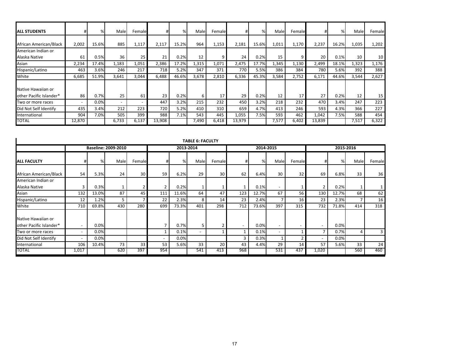| <b>ALL STUDENTS</b>                            |        | %     | Male  | Female |        | %     | Malel | Female |        | %     | Malel | Femalel |        | %     | Malel | Female |
|------------------------------------------------|--------|-------|-------|--------|--------|-------|-------|--------|--------|-------|-------|---------|--------|-------|-------|--------|
| African American/Black                         | 2,002  | 15.6% | 885   | 1,117  | 2,117  | 15.2% | 964   | 1,153  | 2,181  | 15.6% | 1,011 | 1,170   | 2,237  | 16.2% | 1,035 | 1,202  |
| American Indian or<br>Alaska Native            | 61     | 0.5%  | 36    | 25     | 21     | 0.2%  | 12    | q      | 24     | 0.2%  | 15    | 9       | 20     | 0.1%  | 10    | 10     |
| Asian                                          | 2,234  | 17.4% | 1,183 | 1,051  | 2,386  | 17.2% | 1,315 | 1,071  | 2,475  | 17.7% | 1,345 | 1,130   | 2,499  | 18.1% | 1,323 | 1,176  |
| Hispanic/Latino                                | 463    | 3.6%  | 246   | 217    | 718    | 5.2%  | 347   | 371    | 770    | 5.5%  | 386   | 384     | 780    | 5.6%  | 392   | 388    |
| White                                          | 6,685  | 51.9% | 3,641 | 3,044  | 6,488  | 46.6% | 3,678 | 2,810  | 6,336  | 45.3% | 3,584 | 2,752   | 6,171  | 44.6% | 3,544 | 2,627  |
| Native Hawaiian or<br>lother Pacific Islander* | 86     | 0.7%  | 25    | 61     | 23     | 0.2%  | 6     | 17     | 29     | 0.2%  | 12    | 17      | 27     | 0.2%  | 12    | 15     |
| Two or more races                              |        | 0.0%  |       |        | 447    | 3.2%  | 215   | 232    | 450    | 3.2%  | 218   | 232     | 470    | 3.4%  | 247   | 223    |
| Did Not Self Identify                          | 435    | 3.4%  | 212   | 223    | 720    | 5.2%  | 410   | 310    | 659    | 4.7%  | 413   | 246     | 593    | 4.3%  | 366   | 227    |
| International                                  | 904    | 7.0%  | 505   | 399    | 988    | 7.1%  | 543   | 445    | 1,055  | 7.5%  | 593   | 462     | 1,042  | 7.5%  | 588   | 454    |
| <b>TOTAL</b>                                   | 12,870 |       | 6,733 | 6,137  | 13,908 |       | 7,490 | 6,418  | 13,979 |       | 7,577 | 6,402   | 13,839 |       | 7,517 | 6,322  |

|                                               |                          |       |                            |                 |                          |           | <b>TABLE 6: FACULTY</b>  |        |     |       |                          |        |                          |           |      |                |  |
|-----------------------------------------------|--------------------------|-------|----------------------------|-----------------|--------------------------|-----------|--------------------------|--------|-----|-------|--------------------------|--------|--------------------------|-----------|------|----------------|--|
|                                               |                          |       | <b>Baseline: 2009-2010</b> |                 |                          | 2013-2014 |                          |        |     |       | 2014-2015                |        |                          | 2015-2016 |      |                |  |
| <b>ALL FACULTY</b>                            | #                        | %     | Male                       | Female          | #                        | %         | Male                     | Female |     | %     | Male                     | Female | #                        | %         | Male | Female         |  |
| African American/Black                        | 54                       | 5.3%  | 24                         | 30 <sup>1</sup> | 59                       | 6.2%      | 29                       | 30     | 62  | 6.4%  | 30                       | 32     | 69                       | 6.8%      | 33   | 36             |  |
| American Indian or<br>Alaska Native           | 3                        | 0.3%  |                            |                 | 2                        | 0.2%      |                          |        |     | 0.1%  | $\overline{\phantom{0}}$ |        | $\overline{2}$           | 0.2%      |      |                |  |
| Asian                                         | 132                      | 13.0% | 87                         | 45              | 111                      | 11.6%     | 64                       | 47     | 123 | 12.7% | 67                       | 56     | 130                      | 12.7%     | 68   | 62             |  |
| Hispanic/Latino                               | 12                       | 1.2%  |                            |                 | 22                       | 2.3%      | 8                        | 14     | 23  | 2.4%  |                          | 16     | 23                       | 2.3%      |      | 16             |  |
| White                                         | 710                      | 69.8% | 430                        | 280             | 699                      | 73.3%     | 401                      | 298    | 712 | 73.6% | 397                      | 315    | 732                      | 71.8%     | 414  | 318            |  |
| Native Hawaiian or<br>other Pacific Islander* | $\overline{\phantom{a}}$ | 0.0%  |                            |                 | $\overline{ }$           | 0.7%      | 5                        |        |     | 0.0%  | $\overline{\phantom{a}}$ |        | $\overline{\phantom{a}}$ | 0.0%      |      |                |  |
| Two or more races                             | $\overline{\phantom{0}}$ | 0.0%  |                            |                 |                          | 0.1%      | $\overline{\phantom{0}}$ |        |     | 0.1%  | $\overline{\phantom{a}}$ |        | $\overline{7}$           | 0.7%      | 4    | 3 <sup>1</sup> |  |
| Did Not Self Identify                         | $\overline{\phantom{a}}$ | 0.0%  |                            |                 | $\overline{\phantom{0}}$ | 0.0%      |                          |        | 3   | 0.3%  |                          |        | $\overline{\phantom{a}}$ | 0.0%      |      |                |  |
| International                                 | 106                      | 10.4% | 73                         | 33              | 53                       | 5.6%      | 33                       | 20     | 43  | 4.4%  | 29                       | 14     | 57                       | 5.6%      | 33   | 24             |  |
| <b>TOTAL</b>                                  | 1,017                    |       | 620                        | 397             | 954                      |           | 541                      | 413    | 968 |       | 531                      | 437    | 1,020                    |           | 560  | 460            |  |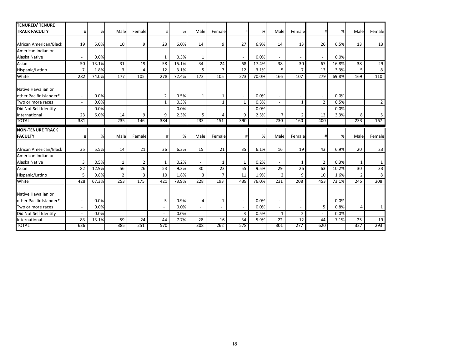| <b>TENURED/ TENURE</b>  |                          |       |                |                |                |       |                |                |                          |       |                          |                          |                          |       |                |                |
|-------------------------|--------------------------|-------|----------------|----------------|----------------|-------|----------------|----------------|--------------------------|-------|--------------------------|--------------------------|--------------------------|-------|----------------|----------------|
| <b>TRACK FACULTY</b>    | #                        | %     | Male           | Female         | #              | %     | Male           | Female         | #                        | %     | Male                     | Female                   | #                        | %     | Male           | Female         |
|                         |                          |       |                |                |                |       |                |                |                          |       |                          |                          |                          |       |                |                |
| African American/Black  | 19                       | 5.0%  | 10             | 9              | 23             | 6.0%  | 14             | 9              | 27                       | 6.9%  | 14                       | 13                       | 26                       | 6.5%  | 13             | 13             |
| American Indian or      |                          |       |                |                |                |       |                |                |                          |       |                          |                          |                          |       |                |                |
| Alaska Native           |                          | 0.0%  |                |                | $\mathbf{1}$   | 0.3%  | $\mathbf{1}$   |                |                          | 0.0%  |                          |                          |                          | 0.0%  |                |                |
| Asian                   | 50                       | 13.1% | 31             | 19             | 58             | 15.1% | 34             | 24             | 68                       | 17.4% | 38                       | 30                       | 67                       | 16.8% | 38             | 29             |
| Hispanic/Latino         | $\overline{7}$           | 1.8%  | 3              | 4              | 12             | 3.1%  | 5              | $\overline{7}$ | 12                       | 3.1%  | 5                        | $\overline{7}$           | 13                       | 3.3%  | 5              | 8              |
| White                   | 282                      | 74.0% | 177            | 105            | 278            | 72.4% | 173            | 105            | 273                      | 70.0% | 166                      | 107                      | 279                      | 69.8% | 169            | 110            |
| Native Hawaiian or      |                          |       |                |                |                |       |                |                |                          |       |                          |                          |                          |       |                |                |
| other Pacific Islander* | $\bar{\phantom{a}}$      | 0.0%  |                |                | $\overline{2}$ | 0.5%  | 1              | 1              | $\overline{\phantom{a}}$ | 0.0%  | $\blacksquare$           |                          | $\overline{\phantom{a}}$ | 0.0%  |                |                |
| Two or more races       |                          | 0.0%  |                |                | $\mathbf{1}$   | 0.3%  |                | $\mathbf{1}$   | $\mathbf{1}$             | 0.3%  |                          | $\mathbf{1}$             | $\overline{2}$           | 0.5%  |                | $\overline{2}$ |
| Did Not Self Identify   | $\overline{a}$           | 0.0%  |                |                | $\sim$         | 0.0%  |                |                | $\sim$                   | 0.0%  |                          |                          | $\sim$                   | 0.0%  |                |                |
| International           | 23                       | 6.0%  | 14             | 9              | 9              | 2.3%  | 5              | 4              | 9                        | 2.3%  | $\overline{7}$           | 2 <sup>1</sup>           | 13                       | 3.3%  | 8              | 5              |
| <b>TOTAL</b>            | 381                      |       | 235            | 146            | 384            |       | 233            | 151            | 390                      |       | 230                      | 160                      | 400                      |       | 233            | 167            |
|                         |                          |       |                |                |                |       |                |                |                          |       |                          |                          |                          |       |                |                |
| <b>NON-TENURE TRACK</b> |                          |       |                |                |                |       |                |                |                          |       |                          |                          |                          |       |                |                |
| <b>FACULTY</b>          | #                        | %     | Male           | Female         | #              | %     | Male           | Female         | #                        | %     | Male                     | Female                   | #                        | %     | Male           | Female         |
| African American/Black  | 35                       | 5.5%  | 14             | 21             | 36             | 6.3%  | 15             | 21             | 35                       | 6.1%  | 16                       | 19                       | 43                       | 6.9%  | 20             | 23             |
| American Indian or      |                          |       |                |                |                |       |                |                |                          |       |                          |                          |                          |       |                |                |
| Alaska Native           | 3                        | 0.5%  | 1              | $\overline{2}$ | $\mathbf{1}$   | 0.2%  | $\sim$         | 1              | $\mathbf{1}$             | 0.2%  | $\sim$                   | 1                        | $\overline{2}$           | 0.3%  | 1              | $\mathbf{1}$   |
| Asian                   | 82                       | 12.9% | 56             | 26             | 53             | 9.3%  | 30             | 23             | 55                       | 9.5%  | 29                       | 26                       | 63                       | 10.2% | 30             | 33             |
| Hispanic/Latino         | 5                        | 0.8%  | $\overline{2}$ | 3              | 10             | 1.8%  | 3              | $\overline{7}$ | 11                       | 1.9%  | $\overline{2}$           | 9                        | 10                       | 1.6%  | $\overline{2}$ | 8              |
| White                   | 428                      | 67.3% | 253            | 175            | 421            | 73.9% | 228            | 193            | 439                      | 76.0% | 231                      | 208                      | 453                      | 73.1% | 245            | 208            |
| Native Hawaiian or      |                          |       |                |                |                |       |                |                |                          |       |                          |                          |                          |       |                |                |
| other Pacific Islander* | $\overline{\phantom{a}}$ | 0.0%  |                |                | 5              | 0.9%  | 4              | 1              | $\sim$                   | 0.0%  | $\blacksquare$           | $\overline{\phantom{a}}$ | $\overline{\phantom{a}}$ | 0.0%  |                |                |
| Two or more races       | $\overline{\phantom{a}}$ | 0.0%  |                |                | $\sim$         | 0.0%  | $\blacksquare$ |                | $\sim$                   | 0.0%  | $\overline{\phantom{a}}$ |                          | 5                        | 0.8%  | $\overline{4}$ | $\mathbf{1}$   |
| Did Not Self Identify   |                          | 0.0%  |                |                | $\sim$         | 0.0%  |                |                | 3                        | 0.5%  | $\mathbf{1}$             | $\overline{2}$           | $\sim$                   | 0.0%  |                |                |
| International           | 83                       | 13.1% | 59             | 24             | 44             | 7.7%  | 28             | 16             | 34                       | 5.9%  | 22                       | 12                       | 44                       | 7.1%  | 25             | 19             |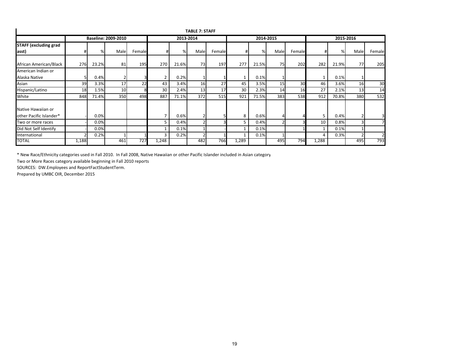|                                               |       |       |                            |        |                |           | <b>TABLE 7: STAFF</b> |        |       |           |      |        |              |       |           |        |
|-----------------------------------------------|-------|-------|----------------------------|--------|----------------|-----------|-----------------------|--------|-------|-----------|------|--------|--------------|-------|-----------|--------|
| <b>STAFF (excluding grad</b>                  |       |       | <b>Baseline: 2009-2010</b> |        |                | 2013-2014 |                       |        |       | 2014-2015 |      |        |              |       | 2015-2016 |        |
|                                               |       |       |                            |        |                |           |                       |        |       |           |      |        |              |       |           |        |
| asst)                                         | #     | %     | Male                       | Female | #              | %         | Male                  | Female |       | %         | Male | Female | #            | %     | Male      | Female |
| African American/Black                        | 276   | 23.2% | 81                         | 195    | 270            | 21.6%     | 73                    | 197    | 277   | 21.5%     | 75   | 202    | 282          | 21.9% | 77        | 205    |
| American Indian or                            |       |       |                            |        |                |           |                       |        |       |           |      |        |              |       |           |        |
| Alaska Native                                 |       | 0.4%  |                            |        | $\overline{2}$ | 0.2%      |                       |        |       | 0.1%      |      |        |              | 0.1%  |           |        |
| Asian                                         | 39    | 3.3%  | 17                         | 22     | 43             | 3.4%      | 16                    | 27     | 45    | 3.5%      | 15   | 30     | 46           | 3.6%  | 16        | 30     |
| Hispanic/Latino                               | 18    | 1.5%  | 10                         |        | 30             | 2.4%      | 13                    | 17     | 30    | 2.3%      | 14   | 16     | 27           | 2.1%  | 13        | 14     |
| White                                         | 848   | 71.4% | 350                        | 498    | 887            | 71.1%     | 372                   | 515    | 921   | 71.5%     | 383  | 538    | 912          | 70.8% | 380       | 532    |
| Native Hawaiian or<br>other Pacific Islander* |       | 0.0%  |                            |        | $\overline{7}$ | 0.6%      |                       |        | 8     | 0.6%      | 4    |        | 5            | 0.4%  |           |        |
| Two or more races                             |       | 0.0%  |                            |        | 5              | 0.4%      |                       |        | 5     | 0.4%      |      |        | 10           | 0.8%  | 3         |        |
| Did Not Self Identify                         |       | 0.0%  |                            |        |                | 0.1%      |                       |        |       | 0.1%      |      |        | $\mathbf{1}$ | 0.1%  |           |        |
| International                                 | Ο.    | 0.2%  |                            |        | 3              | 0.2%      | $\overline{2}$        |        | 1     | 0.1%      |      |        | 4            | 0.3%  |           |        |
| <b>TOTAL</b>                                  | 1,188 |       | 461                        | 727    | 1,248          |           | 482                   | 766    | 1,289 |           | 495  | 794    | 1,288        |       | 495       | 793    |

\* New Race/Ethnicity categories used in Fall 2010. In Fall 2008, Native Hawaiian or other Pacific Islander included in Asian category

Two or More Races category available beginning in Fall 2010 reports

SOURCES: DW.Employees and ReportFactStudentTerm.

Prepared by UMBC OIR, December 2015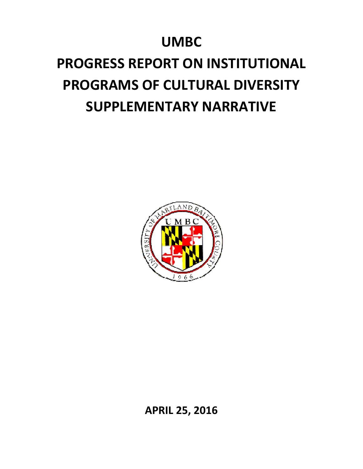## **UMBC**

# **PROGRESS REPORT ON INSTITUTIONAL PROGRAMS OF CULTURAL DIVERSITY SUPPLEMENTARY NARRATIVE**



**APRIL 25, 2016**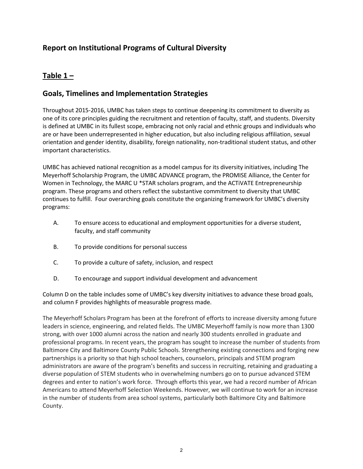## **Report on Institutional Programs of Cultural Diversity**

## **Table 1 –**

## **Goals, Timelines and Implementation Strategies**

Throughout 2015-2016, UMBC has taken steps to continue deepening its commitment to diversity as one of its core principles guiding the recruitment and retention of faculty, staff, and students. Diversity is defined at UMBC in its fullest scope, embracing not only racial and ethnic groups and individuals who are or have been underrepresented in higher education, but also including religious affiliation, sexual orientation and gender identity, disability, foreign nationality, non-traditional student status, and other important characteristics.

UMBC has achieved national recognition as a model campus for its diversity initiatives, including The Meyerhoff Scholarship Program, the UMBC ADVANCE program, the PROMISE Alliance, the Center for Women in Technology, the MARC U \*STAR scholars program, and the ACTiVATE Entrepreneurship program. These programs and others reflect the substantive commitment to diversity that UMBC continues to fulfill. Four overarching goals constitute the organizing framework for UMBC's diversity programs:

- A. To ensure access to educational and employment opportunities for a diverse student, faculty, and staff community
- B. To provide conditions for personal success
- C. To provide a culture of safety, inclusion, and respect
- D. To encourage and support individual development and advancement

Column D on the table includes some of UMBC's key diversity initiatives to advance these broad goals, and column F provides highlights of measurable progress made.

The Meyerhoff Scholars Program has been at the forefront of efforts to increase diversity among future leaders in science, engineering, and related fields. The UMBC Meyerhoff family is now more than 1300 strong, with over 1000 alumni across the nation and nearly 300 students enrolled in graduate and professional programs. In recent years, the program has sought to increase the number of students from Baltimore City and Baltimore County Public Schools. Strengthening existing connections and forging new partnerships is a priority so that high school teachers, counselors, principals and STEM program administrators are aware of the program's benefits and success in recruiting, retaining and graduating a diverse population of STEM students who in overwhelming numbers go on to pursue advanced STEM degrees and enter to nation's work force. Through efforts this year, we had a record number of African Americans to attend Meyerhoff Selection Weekends. However, we will continue to work for an increase in the number of students from area school systems, particularly both Baltimore City and Baltimore County.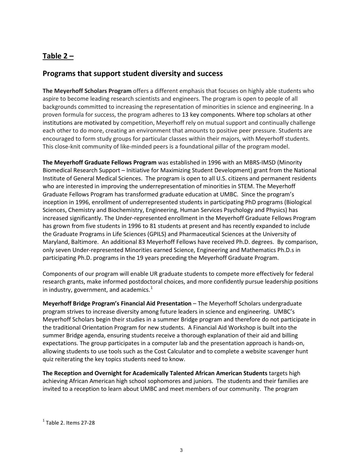## **Table 2 –**

## **Programs that support student diversity and success**

**The Meyerhoff Scholars Program** offers a different emphasis that focuses on highly able students who aspire to become leading research scientists and engineers. The program is open to people of all backgrounds committed to increasing the representation of minorities in science and engineering. In a proven formula for success, the program adheres to 13 key components. Where top scholars at other institutions are motivated by competition, Meyerhoff rely on mutual support and continually challenge each other to do more, creating an environment that amounts to positive peer pressure. Students are encouraged to form study groups for particular classes within their majors, with Meyerhoff students. This close-knit community of like-minded peers is a foundational pillar of the program model.

**The Meyerhoff Graduate Fellows Program** was established in 1996 with an MBRS-IMSD (Minority Biomedical Research Support – Initiative for Maximizing Student Development) grant from the National Institute of General Medical Sciences. The program is open to all U.S. citizens and permanent residents who are interested in improving the underrepresentation of minorities in STEM. The Meyerhoff Graduate Fellows Program has transformed graduate education at UMBC. Since the program's inception in 1996, enrollment of underrepresented students in participating PhD programs (Biological Sciences, Chemistry and Biochemistry, Engineering, Human Services Psychology and Physics) has increased significantly. The Under-represented enrollment in the Meyerhoff Graduate Fellows Program has grown from five students in 1996 to 81 students at present and has recently expanded to include the Graduate Programs in Life Sciences (GPILS) and Pharmaceutical Sciences at the University of Maryland, Baltimore. An additional 83 Meyerhoff Fellows have received Ph.D. degrees. By comparison, only seven Under-represented Minorities earned Science, Engineering and Mathematics Ph.D.s in participating Ph.D. programs in the 19 years preceding the Meyerhoff Graduate Program.

Components of our program will enable UR graduate students to compete more effectively for federal research grants, make informed postdoctoral choices, and more confidently pursue leadership positions in industry, government, and academics. $<sup>1</sup>$  $<sup>1</sup>$  $<sup>1</sup>$ </sup>

**Meyerhoff Bridge Program's Financial Aid Presentation** – The Meyerhoff Scholars undergraduate program strives to increase diversity among future leaders in science and engineering. UMBC's Meyerhoff Scholars begin their studies in a summer Bridge program and therefore do not participate in the traditional Orientation Program for new students. A Financial Aid Workshop is built into the summer Bridge agenda, ensuring students receive a thorough explanation of their aid and billing expectations. The group participates in a computer lab and the presentation approach is hands-on, allowing students to use tools such as the Cost Calculator and to complete a website scavenger hunt quiz reiterating the key topics students need to know.

**The Reception and Overnight for Academically Talented African American Students** targets high achieving African American high school sophomores and juniors. The students and their families are invited to a reception to learn about UMBC and meet members of our community. The program

<span id="page-21-0"></span> $<sup>1</sup>$  Table 2. Items 27-28</sup>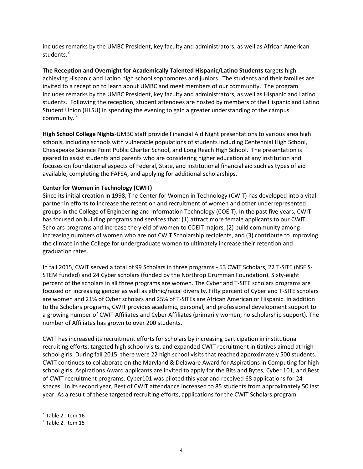includes remarks by the UMBC President, key faculty and administrators, as well as African American students.<sup>[2](#page-22-0)</sup>

**The Reception and Overnight for Academically Talented Hispanic/Latino Students** targets high achieving Hispanic and Latino high school sophomores and juniors. The students and their families are invited to a reception to learn about UMBC and meet members of our community. The program includes remarks by the UMBC President, key faculty and administrators, as well as Hispanic and Latino students. Following the reception, student attendees are hosted by members of the Hispanic and Latino Student Union (HLSU) in spending the evening to gain a greater understanding of the campus community.<sup>[3](#page-22-1)</sup>

**High School College Nights**-UMBC staff provide Financial Aid Night presentations to various area high schools, including schools with vulnerable populations of students including Centennial High School, Chesapeake Science Point Public Charter School, and Long Reach High School. The presentation is geared to assist students and parents who are considering higher education at any institution and focuses on foundational aspects of Federal, State, and Institutional financial aid such as types of aid available, completing the FAFSA, and applying for additional scholarships.

#### **Center for Women in Technology (CWIT)**

Since its initial creation in 1998, The Center for Women in Technology (CWIT) has developed into a vital partner in efforts to increase the retention and recruitment of women and other underrepresented groups in the College of Engineering and Information Technology (COEIT). In the past five years, CWIT has focused on building programs and services that: (1) attract more female applicants to our CWIT Scholars programs and increase the yield of women to COEIT majors, (2) build community among increasing numbers of women who are not CWIT Scholarship recipients, and (3) contribute to improving the climate in the College for undergraduate women to ultimately increase their retention and graduation rates.

In fall 2015, CWIT served a total of 99 Scholars in three programs - 53 CWIT Scholars, 22 T-SITE (NSF S-STEM funded) and 24 Cyber scholars (funded by the Northrop Grumman Foundation). Sixty-eight percent of the scholars in all three programs are women. The Cyber and T-SITE scholars programs are focused on increasing gender as well as ethnic/racial diversity. Fifty percent of Cyber and T-SITE scholars are women and 21% of Cyber scholars and 25% of T-SITEs are African American or Hispanic. In addition to the Scholars programs, CWIT provides academic, personal, and professional development support to a growing number of CWIT Affiliates and Cyber Affiliates (primarily women; no scholarship support). The number of Affiliates has grown to over 200 students.

CWIT has increased its recruitment efforts for scholars by increasing participation in institutional recruiting efforts, targeted high school visits, and expanded CWIT recruitment initiatives aimed at high school girls. During fall 2015, there were 22 high school visits that reached approximately 500 students. CWIT continues to collaborate on the Maryland & Delaware Award for Aspirations in Computing for high school girls. Aspirations Award applicants are invited to apply for the Bits and Bytes, Cyber 101, and Best of CWIT recruitment programs. Cyber101 was piloted this year and received 68 applications for 24 spaces. In its second year, Best of CWIT attendance increased to 85 students from approximately 50 last year. As a result of these targeted recruiting efforts, applications for the CWIT Scholars program

<span id="page-22-0"></span> $<sup>2</sup>$  Table 2. Item 16</sup>

<span id="page-22-1"></span> $3$  Table 2. Item 15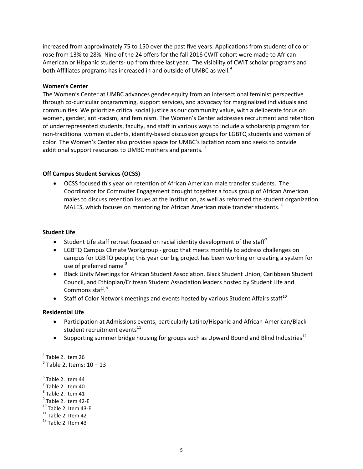increased from approximately 75 to 150 over the past five years. Applications from students of color rose from 13% to 28%. Nine of the 24 offers for the fall 2016 CWIT cohort were made to African American or Hispanic students- up from three last year. The visibility of CWIT scholar programs and both Affiliates programs has increased in and outside of UMBC as well. $4$ 

#### **Women's Center**

The Women's Center at UMBC advances gender equity from an intersectional feminist perspective through co-curricular programming, support services, and advocacy for marginalized individuals and communities. We prioritize critical social justice as our community value, with a deliberate focus on women, gender, anti-racism, and feminism. The Women's Center addresses recruitment and retention of underrepresented students, faculty, and staff in various ways to include a scholarship program for non-traditional women students, identity-based discussion groups for LGBTQ students and women of color. The Women's Center also provides space for UMBC's lactation room and seeks to provide additional support resources to UMBC mothers and parents.<sup>[5](#page-23-1)</sup>

#### **Off Campus Student Services (OCSS)**

• OCSS focused this year on retention of African American male transfer students. The Coordinator for Commuter Engagement brought together a focus group of African American males to discuss retention issues at the institution, as well as reformed the student organization MALES, which focuses on mentoring for African American male transfer students.  $^6$  $^6$ 

#### **Student Life**

- Student Life staff retreat focused on racial identity development of the staff<sup>[7](#page-23-3)</sup>
- LGBTQ Campus Climate Workgroup group that meets monthly to address challenges on campus for LGBTQ people; this year our big project has been working on creating a system for use of preferred name<sup>[8](#page-23-4)</sup>
- Black Unity Meetings for African Student Association, Black Student Union, Caribbean Student Council, and Ethiopian/Eritrean Student Association leaders hosted by Student Life and Commons staff.<sup>[9](#page-23-5)</sup>
- Staff of Color Network meetings and events hosted by various Student Affairs staff<sup>[10](#page-23-6)</sup>

#### **Residential Life**

- Participation at Admissions events, particularly Latino/Hispanic and African-American/Black student recruitment events<sup>[11](#page-23-7)</sup>
- Supporting summer bridge housing for groups such as Upward Bound and Blind Industries<sup>[12](#page-23-8)</sup>

<span id="page-23-1"></span><span id="page-23-0"></span> $4$  Table 2. Item 26  $5$  Table 2. Items:  $10 - 13$ 

<span id="page-23-8"></span><span id="page-23-7"></span><span id="page-23-6"></span><span id="page-23-5"></span><span id="page-23-4"></span><span id="page-23-3"></span><span id="page-23-2"></span> $<sup>6</sup>$  Table 2. Item 44</sup>  $<sup>7</sup>$  Table 2. Item 40</sup>  $<sup>8</sup>$  Table 2. Item 41<br> $<sup>9</sup>$  Table 2. Item 42-E</sup></sup> <sup>10</sup> Table 2. Item 43-E<br><sup>11</sup> Table 2. Item 42<br><sup>12</sup> Table 2. Item 43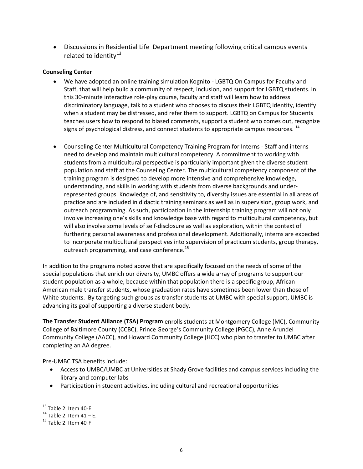• Discussions in Residential Life Department meeting following critical campus events related to identity $^{13}$  $^{13}$  $^{13}$ 

#### **Counseling Center**

- We have adopted an online training simulation Kognito LGBTQ On Campus for Faculty and Staff, that will help build a community of respect, inclusion, and support for LGBTQ students. In this 30-minute interactive role-play course, faculty and staff will learn how to address discriminatory language, talk to a student who chooses to discuss their LGBTQ identity, identify when a student may be distressed, and refer them to support. LGBTQ on Campus for Students teaches users how to respond to biased comments, support a student who comes out, recognize signs of psychological distress, and connect students to appropriate campus resources. <sup>[14](#page-24-1)</sup>
- Counseling Center Multicultural Competency Training Program for Interns Staff and interns need to develop and maintain multicultural competency. A commitment to working with students from a multicultural perspective is particularly important given the diverse student population and staff at the Counseling Center. The multicultural competency component of the training program is designed to develop more intensive and comprehensive knowledge, understanding, and skills in working with students from diverse backgrounds and underrepresented groups. Knowledge of, and sensitivity to, diversity issues are essential in all areas of practice and are included in didactic training seminars as well as in supervision, group work, and outreach programming. As such, participation in the internship training program will not only involve increasing one's skills and knowledge base with regard to multicultural competency, but will also involve some levels of self-disclosure as well as exploration, within the context of furthering personal awareness and professional development. Additionally, interns are expected to incorporate multicultural perspectives into supervision of practicum students, group therapy, outreach programming, and case conference.<sup>[15](#page-24-2)</sup>

In addition to the programs noted above that are specifically focused on the needs of some of the special populations that enrich our diversity, UMBC offers a wide array of programs to support our student population as a whole, because within that population there is a specific group, African American male transfer students, whose graduation rates have sometimes been lower than those of White students. By targeting such groups as transfer students at UMBC with special support, UMBC is advancing its goal of supporting a diverse student body.

**The Transfer Student Alliance (TSA) Program** enrolls students at Montgomery College (MC), Community College of Baltimore County (CCBC), Prince George's Community College (PGCC), Anne Arundel Community College (AACC), and Howard Community College (HCC) who plan to transfer to UMBC after completing an AA degree.

Pre-UMBC TSA benefits include:

- Access to UMBC/UMBC at Universities at Shady Grove facilities and campus services including the library and computer labs
- Participation in student activities, including cultural and recreational opportunities

<span id="page-24-1"></span><span id="page-24-0"></span><sup>&</sup>lt;sup>13</sup> Table 2. Item 40-E<br><sup>14</sup> Table 2. Item 41 – E.<br><sup>15</sup> Table 2. Item 40-F

<span id="page-24-2"></span>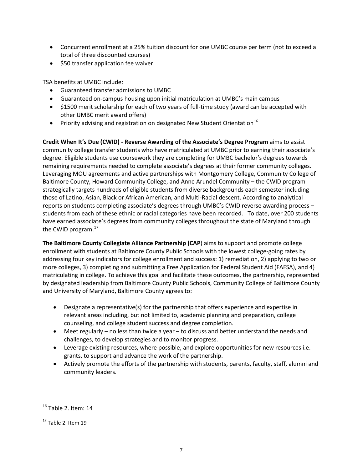- Concurrent enrollment at a 25% tuition discount for one UMBC course per term (not to exceed a total of three discounted courses)
- \$50 transfer application fee waiver

TSA benefits at UMBC include:

- Guaranteed transfer admissions to UMBC
- Guaranteed on-campus housing upon initial matriculation at UMBC's main campus
- \$1500 merit scholarship for each of two years of full-time study (award can be accepted with other UMBC merit award offers)
- Priority advising and registration on designated New Student Orientation<sup>[16](#page-25-0)</sup>

**Credit When It's Due (CWID) - Reverse Awarding of the Associate's Degree Program** aims to assist community college transfer students who have matriculated at UMBC prior to earning their associate's degree. Eligible students use coursework they are completing for UMBC bachelor's degrees towards remaining requirements needed to complete associate's degrees at their former community colleges. Leveraging MOU agreements and active partnerships with Montgomery College, Community College of Baltimore County, Howard Community College, and Anne Arundel Community – the CWID program strategically targets hundreds of eligible students from diverse backgrounds each semester including those of Latino, Asian, Black or African American, and Multi-Racial descent. According to analytical reports on students completing associate's degrees through UMBC's CWID reverse awarding process – students from each of these ethnic or racial categories have been recorded. To date, over 200 students have earned associate's degrees from community colleges throughout the state of Maryland through the CWID program. $^{17}$  $^{17}$  $^{17}$ 

**The Baltimore County Collegiate Alliance Partnership (CAP**) aims to support and promote college enrollment with students at Baltimore County Public Schools with the lowest college-going rates by addressing four key indicators for college enrollment and success: 1) remediation, 2) applying to two or more colleges, 3) completing and submitting a Free Application for Federal Student Aid (FAFSA), and 4) matriculating in college. To achieve this goal and facilitate these outcomes, the partnership, represented by designated leadership from Baltimore County Public Schools, Community College of Baltimore County and University of Maryland, Baltimore County agrees to:

- Designate a representative(s) for the partnership that offers experience and expertise in relevant areas including, but not limited to, academic planning and preparation, college counseling, and college student success and degree completion.
- Meet regularly no less than twice a year to discuss and better understand the needs and challenges, to develop strategies and to monitor progress.
- Leverage existing resources, where possible, and explore opportunities for new resources i.e. grants, to support and advance the work of the partnership.
- Actively promote the efforts of the partnership with students, parents, faculty, staff, alumni and community leaders.

<span id="page-25-0"></span><sup>&</sup>lt;sup>16</sup> Table 2. Item: 14

<span id="page-25-1"></span> $17$  Table 2. Item 19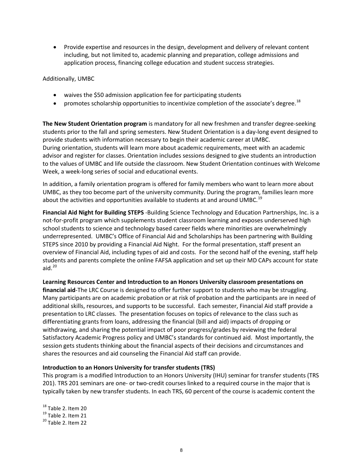• Provide expertise and resources in the design, development and delivery of relevant content including, but not limited to, academic planning and preparation, college admissions and application process, financing college education and student success strategies.

Additionally, UMBC

- waives the \$50 admission application fee for participating students
- promotes scholarship opportunities to incentivize completion of the associate's degree.<sup>[18](#page-26-0)</sup>

**The New Student Orientation program** is mandatory for all new freshmen and transfer degree-seeking students prior to the fall and spring semesters. New Student Orientation is a day-long event designed to provide students with information necessary to begin their academic career at UMBC. During orientation, students will learn more about academic requirements, meet with an academic advisor and register for classes. Orientation includes sessions designed to give students an introduction to the values of UMBC and life outside the classroom. New Student Orientation continues with Welcome Week, a week-long series of social and educational events.

In addition, a family orientation program is offered for family members who want to learn more about UMBC, as they too become part of the university community. During the program, families learn more about the activities and opportunities available to students at and around UMBC.<sup>[19](#page-26-1)</sup>

**Financial Aid Night for Building STEPS** -Building Science Technology and Education Partnerships, Inc. is a not-for-profit program which supplements student classroom learning and exposes underserved high school students to science and technology based career fields where minorities are overwhelmingly underrepresented. UMBC's Office of Financial Aid and Scholarships has been partnering with Building STEPS since 2010 by providing a Financial Aid Night. For the formal presentation, staff present an overview of Financial Aid, including types of aid and costs. For the second half of the evening, staff help students and parents complete the online FAFSA application and set up their MD CAPs account for state aid. $^{20}$  $^{20}$  $^{20}$ 

**Learning Resources Center and Introduction to an Honors University classroom presentations on financial aid**-The LRC Course is designed to offer further support to students who may be struggling. Many participants are on academic probation or at risk of probation and the participants are in need of additional skills, resources, and supports to be successful. Each semester, Financial Aid staff provide a presentation to LRC classes. The presentation focuses on topics of relevance to the class such as differentiating grants from loans, addressing the financial (bill and aid) impacts of dropping or withdrawing, and sharing the potential impact of poor progress/grades by reviewing the federal Satisfactory Academic Progress policy and UMBC's standards for continued aid. Most importantly, the session gets students thinking about the financial aspects of their decisions and circumstances and shares the resources and aid counseling the Financial Aid staff can provide.

#### **Introduction to an Honors University for transfer students (TRS)**

This program is a modified Introduction to an Honors University (IHU) seminar for transfer students (TRS 201). TRS 201 seminars are one- or two-credit courses linked to a required course in the major that is typically taken by new transfer students. In each TRS, 60 percent of the course is academic content the

<span id="page-26-2"></span><span id="page-26-1"></span><span id="page-26-0"></span> $18$  Table 2. Item 20<br> $19$  Table 2. Item 21<br> $20$  Table 2. Item 22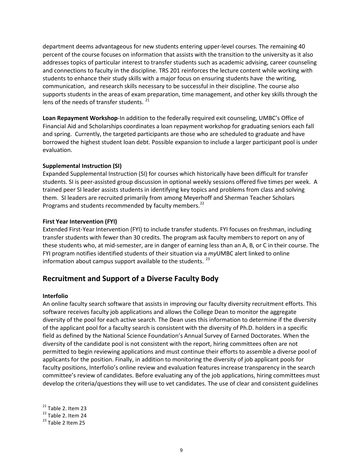department deems advantageous for new students entering upper-level courses. The remaining 40 percent of the course focuses on information that assists with the transition to the university as it also addresses topics of particular interest to transfer students such as academic advising, career counseling and connections to faculty in the discipline. TRS 201 reinforces the lecture content while working with students to enhance their study skills with a major focus on ensuring students have the writing, communication, and research skills necessary to be successful in their discipline. The course also supports students in the areas of exam preparation, time management, and other key skills through the lens of the needs of transfer students.<sup>[21](#page-27-0)</sup>

**Loan Repayment Workshop**-In addition to the federally required exit counseling, UMBC's Office of Financial Aid and Scholarships coordinates a loan repayment workshop for graduating seniors each fall and spring. Currently, the targeted participants are those who are scheduled to graduate and have borrowed the highest student loan debt. Possible expansion to include a larger participant pool is under evaluation.

#### **Supplemental Instruction (SI)**

Expanded Supplemental Instruction (SI) for courses which historically have been difficult for transfer students. SI is peer-assisted group discussion in optional weekly sessions offered five times per week. A trained peer SI leader assists students in identifying key topics and problems from class and solving them. SI leaders are recruited primarily from among Meyerhoff and Sherman Teacher Scholars Programs and students recommended by faculty members.<sup>[22](#page-27-1)</sup>

#### **First Year Intervention (FYI)**

Extended First-Year Intervention (FYI) to include transfer students. FYI focuses on freshman, including transfer students with fewer than 30 credits. The program ask faculty members to report on any of these students who, at mid-semester, are in danger of earning less than an A, B, or C in their course. The FYI program notifies identified students of their situation via a *my*UMBC alert linked to online information about campus support available to the students.  $^{23}$  $^{23}$  $^{23}$ 

### **Recruitment and Support of a Diverse Faculty Body**

#### **Interfolio**

An online faculty search software that assists in improving our faculty diversity recruitment efforts. This software receives faculty job applications and allows the College Dean to monitor the aggregate diversity of the pool for each active search. The Dean uses this information to determine if the diversity of the applicant pool for a faculty search is consistent with the diversity of Ph.D. holders in a specific field as defined by the National Science Foundation's Annual Survey of Earned Doctorates. When the diversity of the candidate pool is not consistent with the report, hiring committees often are not permitted to begin reviewing applications and must continue their efforts to assemble a diverse pool of applicants for the position. Finally, in addition to monitoring the diversity of job applicant pools for faculty positions, Interfolio's online review and evaluation features increase transparency in the search committee's review of candidates. Before evaluating any of the job applications, hiring committees must develop the criteria/questions they will use to vet candidates. The use of clear and consistent guidelines

<span id="page-27-1"></span><span id="page-27-0"></span><sup>&</sup>lt;sup>21</sup> Table 2. Item 23<br><sup>22</sup> Table 2. Item 24<br><sup>23</sup> Table 2 Item 25

<span id="page-27-2"></span>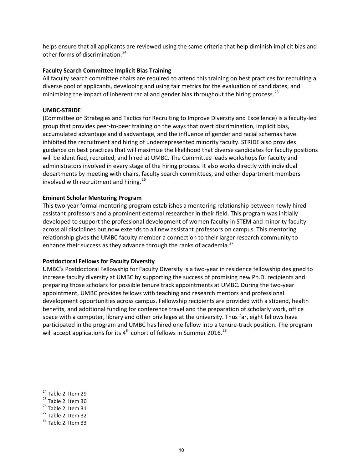helps ensure that all applicants are reviewed using the same criteria that help diminish implicit bias and other forms of discrimination.<sup>[24](#page-28-0)</sup>

#### **Faculty Search Committee Implicit Bias Training**

All faculty search committee chairs are required to attend this training on best practices for recruiting a diverse pool of applicants, developing and using fair metrics for the evaluation of candidates, and minimizing the impact of inherent racial and gender bias throughout the hiring process.<sup>[25](#page-28-1)</sup>

#### **UMBC-STRIDE**

(Committee on Strategies and Tactics for Recruiting to Improve Diversity and Excellence) is a faculty-led group that provides peer-to-peer training on the ways that overt discrimination, implicit bias, accumulated advantage and disadvantage, and the influence of gender and racial schemas have inhibited the recruitment and hiring of underrepresented minority faculty. STRIDE also provides guidance on best practices that will maximize the likelihood that diverse candidates for faculty positions will be identified, recruited, and hired at UMBC. The Committee leads workshops for faculty and administrators involved in every stage of the hiring process. It also works directly with individual departments by meeting with chairs, faculty search committees, and other department members involved with recruitment and hiring.<sup>[26](#page-28-2)</sup>

#### **Eminent Scholar Mentoring Program**

This two-year formal mentoring program establishes a mentoring relationship between newly hired assistant professors and a prominent external researcher in their field. This program was initially developed to support the professional development of women faculty in STEM and minority faculty across all disciplines but now extends to all new assistant professors on campus. This mentoring relationship gives the UMBC faculty member a connection to their larger research community to enhance their success as they advance through the ranks of academia. $^{27}$  $^{27}$  $^{27}$ 

#### **Postdoctoral Fellows for Faculty Diversity**

UMBC's Postdoctoral Fellowship for Faculty Diversity is a two-year in residence fellowship designed to increase faculty diversity at UMBC by supporting the success of promising new Ph.D. recipients and preparing those scholars for possible tenure track appointments at UMBC. During the two-year appointment, UMBC provides fellows with teaching and research mentors and professional development opportunities across campus. Fellowship recipients are provided with a stipend, health benefits, and additional funding for conference travel and the preparation of scholarly work, office space with a computer, library and other privileges at the university. Thus far, eight fellows have participated in the program and UMBC has hired one fellow into a tenure-track position. The program will accept applications for its  $4<sup>th</sup>$  cohort of fellows in Summer 2016.<sup>[28](#page-28-4)</sup>

- <span id="page-28-3"></span><span id="page-28-2"></span>
- 

<span id="page-28-0"></span><sup>&</sup>lt;sup>24</sup> Table 2. Item 29<br><sup>25</sup> Table 2. Item 30<br><sup>26</sup> Table 2. Item 31<br><sup>27</sup> Table 2. Item 32<br><sup>28</sup> Table 2. Item 33

<span id="page-28-1"></span>

<span id="page-28-4"></span>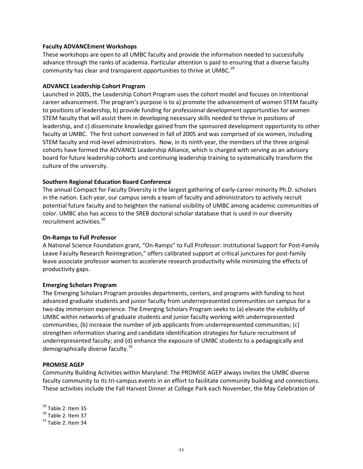#### **Faculty ADVANCEment Workshops**

These workshops are open to all UMBC faculty and provide the information needed to successfully advance through the ranks of academia. Particular attention is paid to ensuring that a diverse faculty community has clear and transparent opportunities to thrive at UMBC.<sup>[29](#page-29-0)</sup>

#### **ADVANCE Leadership Cohort Program**

Launched in 2005, the Leadership Cohort Program uses the cohort model and focuses on intentional career advancement. The program's purpose is to a) promote the advancement of women STEM faculty to positions of leadership, b) provide funding for professional development opportunities for women STEM faculty that will assist them in developing necessary skills needed to thrive in positions of leadership, and c) disseminate knowledge gained from the sponsored development opportunity to other faculty at UMBC. The first cohort convened in fall of 2005 and was comprised of six women, including STEM faculty and mid-level administrators. Now, in its ninth year, the members of the three original cohorts have formed the ADVANCE Leadership Alliance, which is charged with serving as an advisory board for future leadership cohorts and continuing leadership training to systematically transform the culture of the university.

#### **Southern Regional Education Board Conference**

The annual Compact for Faculty Diversity is the largest gathering of early-career minority Ph.D. scholars in the nation. Each year, our campus sends a team of faculty and administrators to actively recruit potential future faculty and to heighten the national visibility of UMBC among academic communities of color. UMBC also has access to the SREB doctoral scholar database that is used in our diversity recruitment activities.<sup>[30](#page-29-1)</sup>

#### **On-Ramps to Full Professor**

A National Science Foundation grant, "On-Ramps" to Full Professor: Institutional Support for Post-Family Leave Faculty Research Reintegration," offers calibrated support at critical junctures for post-family leave associate professor women to accelerate research productivity while minimizing the effects of productivity gaps.

#### **Emerging Scholars Program**

The Emerging Scholars Program provides departments, centers, and programs with funding to host advanced graduate students and junior faculty from underrepresented communities on campus for a two-day immersion experience. The Emerging Scholars Program seeks to (a) elevate the visibility of UMBC within networks of graduate students and junior faculty working with underrepresented communities; (b) increase the number of job applicants from underrepresented communities; (c) strengthen information sharing and candidate identification strategies for future recruitment of underrepresented faculty; and (d) enhance the exposure of UMBC students to a pedagogically and demographically diverse faculty. $31$ 

#### **PROMISE AGEP**

Community Building Activities within Maryland: The PROMISE AGEP always invites the UMBC diverse faculty community to its tri-campus events in an effort to facilitate community building and connections. These activities include the Fall Harvest Dinner at College Park each November, the May Celebration of

<span id="page-29-1"></span><span id="page-29-0"></span> $\frac{29}{30}$  Table 2. Item 35<br> $\frac{30}{31}$  Table 2. Item 37<br> $\frac{31}{31}$  Table 2. Item 34

<span id="page-29-2"></span>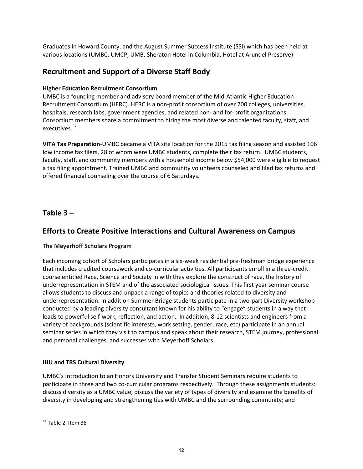Graduates in Howard County, and the August Summer Success Institute (SSI) which has been held at various locations (UMBC, UMCP, UMB, Sheraton Hotel in Columbia, Hotel at Arundel Preserve)

## **Recruitment and Support of a Diverse Staff Body**

#### **Higher Education Recruitment Consortium**

UMBC is a founding member and advisory board member of the Mid-Atlantic Higher Education Recruitment Consortium (HERC). HERC is a non-profit consortium of over 700 colleges, universities, hospitals, research labs, government agencies, and related non- and for-profit organizations. Consortium members share a commitment to hiring the most diverse and talented faculty, staff, and executives.<sup>[32](#page-30-0)</sup>

**VITA Tax Preparation**-UMBC became a VITA site location for the 2015 tax filing season and assisted 106 low income tax filers, 28 of whom were UMBC students, complete their tax return. UMBC students, faculty, staff, and community members with a household income below \$54,000 were eligible to request a tax filing appointment. Trained UMBC and community volunteers counseled and filed tax returns and offered financial counseling over the course of 6 Saturdays.

## **Table 3 –**

## **Efforts to Create Positive Interactions and Cultural Awareness on Campus**

#### **The Meyerhoff Scholars Program**

Each incoming cohort of Scholars participates in a six-week residential pre-freshman bridge experience that includes credited coursework and co-curricular activities. All participants enroll in a three-credit course entitled Race, Science and Society in with they explore the construct of race, the history of underrepresentation in STEM and of the associated sociological issues. This first year seminar course allows students to discuss and unpack a range of topics and theories related to diversity and underrepresentation. In addition Summer Bridge students participate in a two-part Diversity workshop conducted by a leading diversity consultant known for his ability to "engage" students in a way that leads to powerful self-work, reflection, and action. In addition, 8-12 scientists and engineers from a variety of backgrounds (scientific interests, work setting, gender, race, etc) participate in an annual seminar series in which they visit to campus and speak about their research, STEM journey, professional and personal challenges, and successes with Meyerhoff Scholars.

#### **IHU and TRS Cultural Diversity**

<span id="page-30-0"></span>UMBC's Introduction to an Honors University and Transfer Student Seminars require students to participate in three and two co-curricular programs respectively. Through these assignments students: discuss diversity as a UMBC value; discuss the variety of types of diversity and examine the benefits of diversity in developing and strengthening ties with UMBC and the surrounding community; and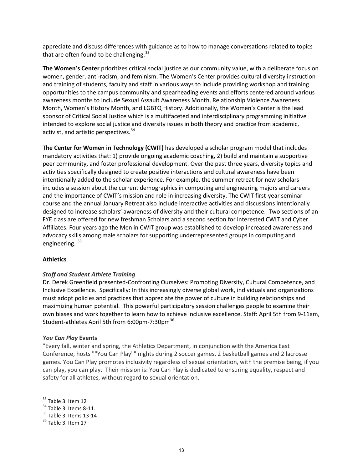appreciate and discuss differences with guidance as to how to manage conversations related to topics that are often found to be challenging. $33$ 

**The Women's Center** prioritizes critical social justice as our community value, with a deliberate focus on women, gender, anti-racism, and feminism. The Women's Center provides cultural diversity instruction and training of students, faculty and staff in various ways to include providing workshop and training opportunities to the campus community and spearheading events and efforts centered around various awareness months to include Sexual Assault Awareness Month, Relationship Violence Awareness Month, Women's History Month, and LGBTQ History. Additionally, the Women's Center is the lead sponsor of Critical Social Justice which is a multifaceted and interdisciplinary programming initiative intended to explore social justice and diversity issues in both theory and practice from academic, activist, and artistic perspectives.<sup>[34](#page-31-1)</sup>

**The Center for Women in Technology (CWIT)** has developed a scholar program model that includes mandatory activities that: 1) provide ongoing academic coaching, 2) build and maintain a supportive peer community, and foster professional development. Over the past three years, diversity topics and activities specifically designed to create positive interactions and cultural awareness have been intentionally added to the scholar experience. For example, the summer retreat for new scholars includes a session about the current demographics in computing and engineering majors and careers and the importance of CWIT's mission and role in increasing diversity. The CWIT first-year seminar course and the annual January Retreat also include interactive activities and discussions intentionally designed to increase scholars' awareness of diversity and their cultural competence. Two sections of an FYE class are offered for new freshman Scholars and a second section for interested CWIT and Cyber Affiliates. Four years ago the Men in CWIT group was established to develop increased awareness and advocacy skills among male scholars for supporting underrepresented groups in computing and engineering.<sup>[35](#page-31-2)</sup>

#### **Athletics**

#### *Staff and Student Athlete Training*

Dr. Derek Greenfield presented-Confronting Ourselves: Promoting Diversity, Cultural Competence, and Inclusive Excellence. Specifically: In this increasingly diverse global work, individuals and organizations must adopt policies and practices that appreciate the power of culture in building relationships and maximizing human potential. This powerful participatory session challenges people to examine their own biases and work together to learn how to achieve inclusive excellence. Staff: April 5th from 9-11am, Student-athletes April 5th from 6:00pm-7:30pm<sup>36</sup>

#### *You Can Play* **Events**

"Every fall, winter and spring, the Athletics Department, in conjunction with the America East Conference, hosts ""You Can Play"" nights during 2 soccer games, 2 basketball games and 2 lacrosse games. You Can Play promotes inclusivity regardless of sexual orientation, with the premise being, if you can play, you can play. Their mission is: You Can Play is dedicated to ensuring equality, respect and safety for all athletes, without regard to sexual orientation.

<span id="page-31-3"></span><span id="page-31-2"></span><span id="page-31-1"></span><span id="page-31-0"></span> $33$  Table 3. Item 12<br> $34$  Table 3. Items 8-11.<br> $35$  Table 3. Item 13-14<br> $36$  Table 3. Item 17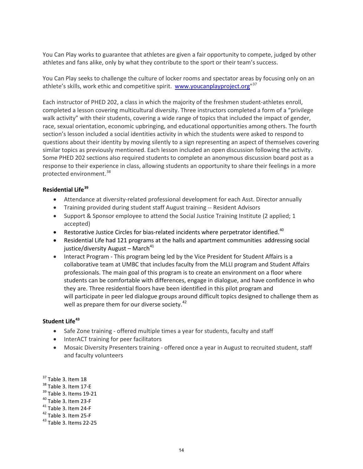You Can Play works to guarantee that athletes are given a fair opportunity to compete, judged by other athletes and fans alike, only by what they contribute to the sport or their team's success.

You Can Play seeks to challenge the culture of locker rooms and spectator areas by focusing only on an athlete's skills, work ethic and competitive spirit. voww.youcanplayproject.org"<sup>[37](#page-32-0)</sup>

Each instructor of PHED 202, a class in which the majority of the freshmen student-athletes enroll, completed a lesson covering multicultural diversity. Three instructors completed a form of a "privilege walk activity" with their students, covering a wide range of topics that included the impact of gender, race, sexual orientation, economic upbringing, and educational opportunities among others. The fourth section's lesson included a social identities activity in which the students were asked to respond to questions about their identity by moving silently to a sign representing an aspect of themselves covering similar topics as previously mentioned. Each lesson included an open discussion following the activity. Some PHED 202 sections also required students to complete an anonymous discussion board post as a response to their experience in class, allowing students an opportunity to share their feelings in a more protected environment.<sup>[38](#page-32-1)</sup>

#### **Residential Life[39](#page-32-2)**

- Attendance at diversity-related professional development for each Asst. Director annually
- Training provided during student staff August training -- Resident Advisors
- Support & Sponsor employee to attend the Social Justice Training Institute (2 applied; 1 accepted)
- **•** Restorative Justice Circles for bias-related incidents where perpetrator identified.<sup>40</sup>
- Residential Life had 121 programs at the halls and apartment communities addressing social justice/diversity August – March $41$
- Interact Program This program being led by the Vice President for Student Affairs is a collaborative team at UMBC that includes faculty from the MLLI program and Student Affairs professionals. The main goal of this program is to create an environment on a floor where students can be comfortable with differences, engage in dialogue, and have confidence in who they are. Three residential floors have been identified in this pilot program and will participate in peer led dialogue groups around difficult topics designed to challenge them as well as prepare them for our diverse society.<sup>42</sup>

#### **Student Life[43](#page-32-6)**

- Safe Zone training offered multiple times a year for students, faculty and staff
- InterACT training for peer facilitators
- Mosaic Diversity Presenters training offered once a year in August to recruited student, staff and faculty volunteers

- <span id="page-32-3"></span><span id="page-32-2"></span>
- <span id="page-32-4"></span>
- <span id="page-32-5"></span>

<span id="page-32-1"></span><span id="page-32-0"></span> $37$  Table 3. Item 17-E<br> $39$  Table 3. Items 19-21<br> $40$  Table 3. Item 23-F<br> $41$  Table 3. Item 24-F<br> $42$  Table 3. Item 25-F<br> $43$  Table 3. Items 22-25

<span id="page-32-6"></span>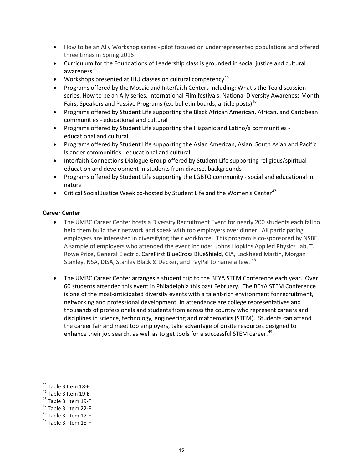- How to be an Ally Workshop series pilot focused on underrepresented populations and offered three times in Spring 2016
- Curriculum for the Foundations of Leadership class is grounded in social justice and cultural awareness<sup>[44](#page-33-0)</sup>
- Workshops presented at IHU classes on cultural competency<sup>[45](#page-33-1)</sup>
- Programs offered by the Mosaic and Interfaith Centers including: What's the Tea discussion series, How to be an Ally series, International Film festivals, National Diversity Awareness Month Fairs, Speakers and Passive Programs (ex. bulletin boards, article posts)<sup>[46](#page-33-2)</sup>
- Programs offered by Student Life supporting the Black African American, African, and Caribbean communities - educational and cultural
- Programs offered by Student Life supporting the Hispanic and Latino/a communities educational and cultural
- Programs offered by Student Life supporting the Asian American, Asian, South Asian and Pacific Islander communities - educational and cultural
- Interfaith Connections Dialogue Group offered by Student Life supporting religious/spiritual education and development in students from diverse, backgrounds
- Programs offered by Student Life supporting the LGBTQ community social and educational in nature
- Critical Social Justice Week co-hosted by Student Life and the Women's Center<sup>47</sup>

#### **Career Center**

- The UMBC Career Center hosts a Diversity Recruitment Event for nearly 200 students each fall to help them build their network and speak with top employers over dinner. All participating employers are interested in diversifying their workforce. This program is co-sponsored by NSBE. A sample of employers who attended the event include: Johns Hopkins Applied Physics Lab, T. Rowe Price, General Electric, CareFirst BlueCross BlueShield, CIA, Lockheed Martin, Morgan Stanley, NSA, DISA, Stanley Black & Decker, and PayPal to name a few. <sup>[48](#page-33-4)</sup>
- The UMBC Career Center arranges a student trip to the BEYA STEM Conference each year. Over 60 students attended this event in Philadelphia this past February. The BEYA STEM Conference is one of the most-anticipated diversity events with a talent-rich environment for recruitment, networking and professional development. In attendance are college representatives and thousands of professionals and students from across the country who represent careers and disciplines in science, technology, engineering and mathematics (STEM). Students can attend the career fair and meet top employers, take advantage of onsite resources designed to enhance their job search, as well as to get tools for a successful STEM career.<sup>[49](#page-33-5)</sup>

<span id="page-33-1"></span>

<span id="page-33-0"></span><sup>&</sup>lt;sup>44</sup> Table 3 Item 18-E<br><sup>45</sup> Table 3 Item 19-E<br><sup>46</sup> Table 3. Item 19-F<br><sup>47</sup> Table 3. Item 17-F<br><sup>49</sup> Table 3. Item 18-F

<span id="page-33-3"></span><span id="page-33-2"></span>

<span id="page-33-4"></span>

<span id="page-33-5"></span>